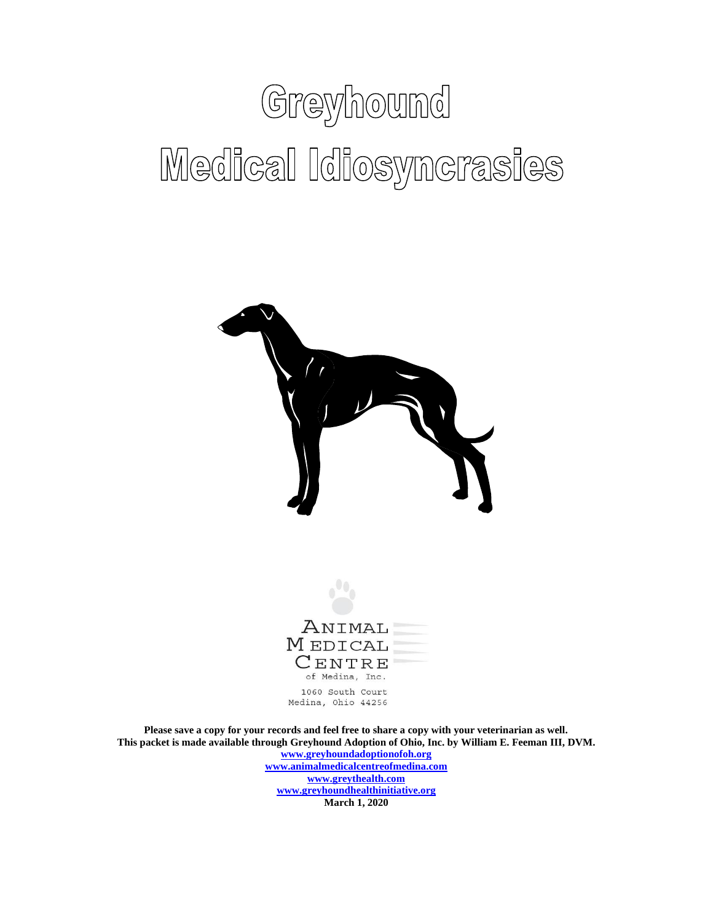# Greyhound Medical Idiosyncrasies



**Please save a copy for your records and feel free to share a copy with your veterinarian as well. This packet is made available through Greyhound Adoption of Ohio, Inc. by William E. Feeman III, DVM. [www.greyhoundadoptionofoh.org](http://www.greyhoundadoptionofoh.org/) [www.animalmedicalcentreofmedina.com](http://www.animalmedicalcentreofmedina.com/) [www.greythealth.com](http://www.greythealth.com/) [www.greyhoundhealthinitiative.org](http://www.grassmere-animal-hospital.com/greyhounds.htm) March 1, 2020**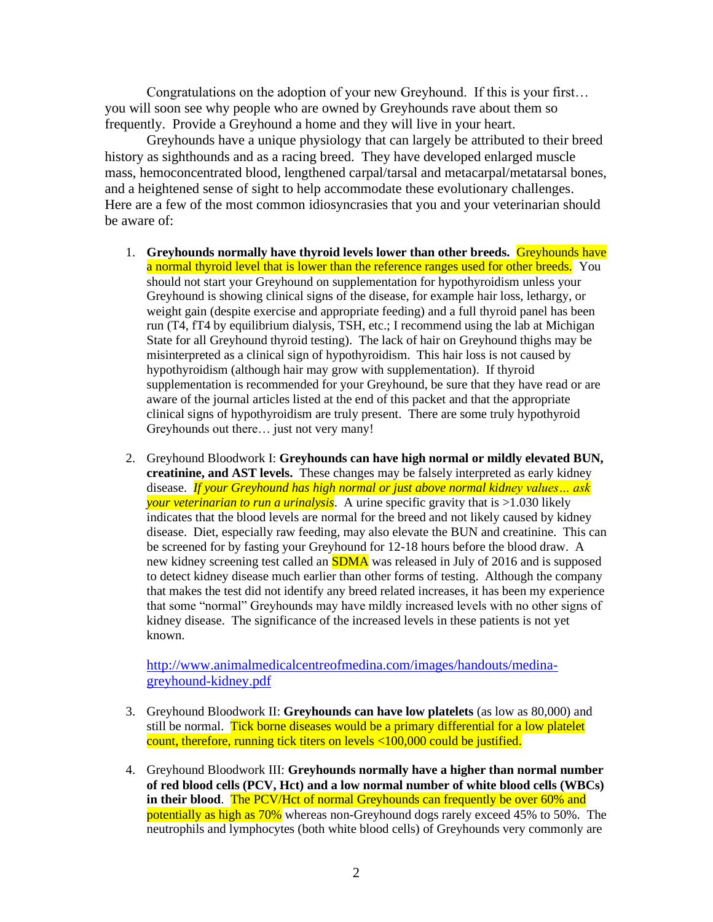Congratulations on the adoption of your new Greyhound. If this is your first… you will soon see why people who are owned by Greyhounds rave about them so frequently. Provide a Greyhound a home and they will live in your heart.

Greyhounds have a unique physiology that can largely be attributed to their breed history as sighthounds and as a racing breed. They have developed enlarged muscle mass, hemoconcentrated blood, lengthened carpal/tarsal and metacarpal/metatarsal bones, and a heightened sense of sight to help accommodate these evolutionary challenges. Here are a few of the most common idiosyncrasies that you and your veterinarian should be aware of:

- 1. **Greyhounds normally have thyroid levels lower than other breeds.** Greyhounds have a normal thyroid level that is lower than the reference ranges used for other breeds. You should not start your Greyhound on supplementation for hypothyroidism unless your Greyhound is showing clinical signs of the disease, for example hair loss, lethargy, or weight gain (despite exercise and appropriate feeding) and a full thyroid panel has been run (T4, fT4 by equilibrium dialysis, TSH, etc.; I recommend using the lab at Michigan State for all Greyhound thyroid testing). The lack of hair on Greyhound thighs may be misinterpreted as a clinical sign of hypothyroidism. This hair loss is not caused by hypothyroidism (although hair may grow with supplementation). If thyroid supplementation is recommended for your Greyhound, be sure that they have read or are aware of the journal articles listed at the end of this packet and that the appropriate clinical signs of hypothyroidism are truly present. There are some truly hypothyroid Greyhounds out there… just not very many!
- 2. Greyhound Bloodwork I: **Greyhounds can have high normal or mildly elevated BUN, creatinine, and AST levels.** These changes may be falsely interpreted as early kidney disease. *If your Greyhound has high normal or just above normal kidney values… ask your veterinarian to run a urinalysis*. A urine specific gravity that is >1.030 likely indicates that the blood levels are normal for the breed and not likely caused by kidney disease. Diet, especially raw feeding, may also elevate the BUN and creatinine. This can be screened for by fasting your Greyhound for 12-18 hours before the blood draw. A new kidney screening test called an **SDMA** was released in July of 2016 and is supposed to detect kidney disease much earlier than other forms of testing. Although the company that makes the test did not identify any breed related increases, it has been my experience that some "normal" Greyhounds may have mildly increased levels with no other signs of kidney disease. The significance of the increased levels in these patients is not yet known.

[http://www.animalmedicalcentreofmedina.com/images/handouts/medina](http://www.animalmedicalcentreofmedina.com/images/handouts/medina-greyhound-kidney.pdf)[greyhound-kidney.pdf](http://www.animalmedicalcentreofmedina.com/images/handouts/medina-greyhound-kidney.pdf)

- 3. Greyhound Bloodwork II: **Greyhounds can have low platelets** (as low as 80,000) and still be normal. Tick borne diseases would be a primary differential for a low platelet count, therefore, running tick titers on levels <100,000 could be justified.
- 4. Greyhound Bloodwork III: **Greyhounds normally have a higher than normal number of red blood cells (PCV, Hct) and a low normal number of white blood cells (WBCs)**  in their blood. The PCV/Hct of normal Greyhounds can frequently be over 60% and potentially as high as 70% whereas non-Greyhound dogs rarely exceed 45% to 50%. The neutrophils and lymphocytes (both white blood cells) of Greyhounds very commonly are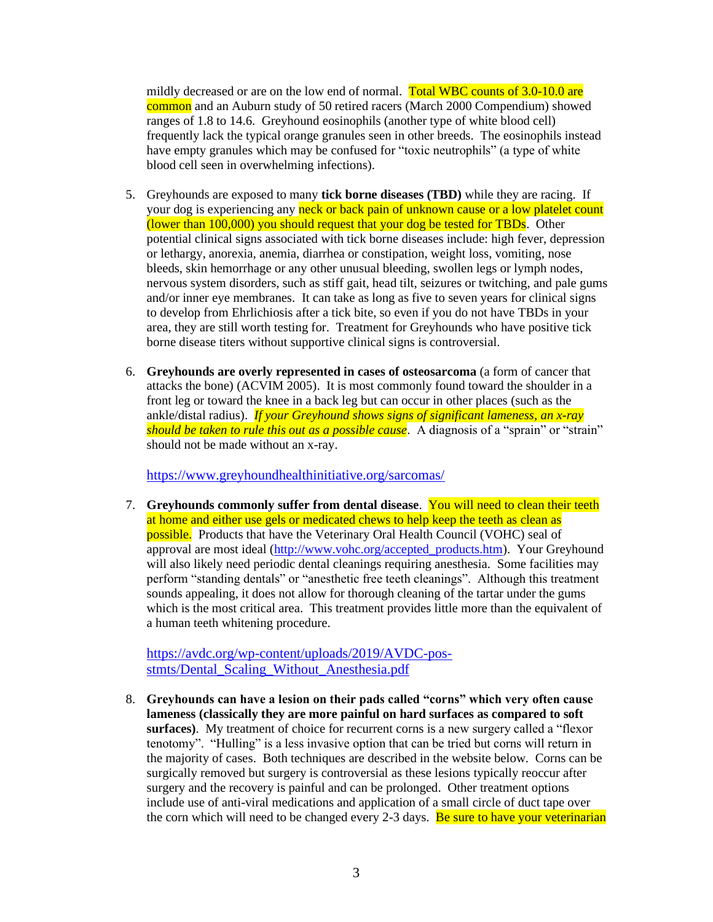mildly decreased or are on the low end of normal. Total WBC counts of 3.0-10.0 are common and an Auburn study of 50 retired racers (March 2000 Compendium) showed ranges of 1.8 to 14.6. Greyhound eosinophils (another type of white blood cell) frequently lack the typical orange granules seen in other breeds. The eosinophils instead have empty granules which may be confused for "toxic neutrophils" (a type of white blood cell seen in overwhelming infections).

- 5. Greyhounds are exposed to many **tick borne diseases (TBD)** while they are racing. If your dog is experiencing any neck or back pain of unknown cause or a low platelet count (lower than 100,000) you should request that your dog be tested for TBDs. Other potential clinical signs associated with tick borne diseases include: high fever, depression or lethargy, anorexia, anemia, diarrhea or constipation, weight loss, vomiting, nose bleeds, skin hemorrhage or any other unusual bleeding, swollen legs or lymph nodes, nervous system disorders, such as stiff gait, head tilt, seizures or twitching, and pale gums and/or inner eye membranes. It can take as long as five to seven years for clinical signs to develop from Ehrlichiosis after a tick bite, so even if you do not have TBDs in your area, they are still worth testing for. Treatment for Greyhounds who have positive tick borne disease titers without supportive clinical signs is controversial.
- 6. **Greyhounds are overly represented in cases of osteosarcoma** (a form of cancer that attacks the bone) (ACVIM 2005). It is most commonly found toward the shoulder in a front leg or toward the knee in a back leg but can occur in other places (such as the ankle/distal radius). *If your Greyhound shows signs of significant lameness, an x-ray should be taken to rule this out as a possible cause*. A diagnosis of a "sprain" or "strain" should not be made without an x-ray.

<https://www.greyhoundhealthinitiative.org/sarcomas/>

7. **Greyhounds commonly suffer from dental disease**. You will need to clean their teeth at home and either use gels or medicated chews to help keep the teeth as clean as possible. Products that have the Veterinary Oral Health Council (VOHC) seal of approval are most ideal [\(http://www.vohc.org/accepted\\_products.htm\)](http://www.vohc.org/accepted_products.htm). Your Greyhound will also likely need periodic dental cleanings requiring anesthesia. Some facilities may perform "standing dentals" or "anesthetic free teeth cleanings". Although this treatment sounds appealing, it does not allow for thorough cleaning of the tartar under the gums which is the most critical area. This treatment provides little more than the equivalent of a human teeth whitening procedure.

[https://avdc.org/wp-content/uploads/2019/AVDC-pos](https://avdc.org/wp-content/uploads/2019/AVDC-pos-stmts/Dental_Scaling_Without_Anesthesia.pdf)stmts/Dental Scaling Without Anesthesia.pdf

8. **Greyhounds can have a lesion on their pads called "corns" which very often cause lameness (classically they are more painful on hard surfaces as compared to soft surfaces)**. My treatment of choice for recurrent corns is a new surgery called a "flexor tenotomy". "Hulling" is a less invasive option that can be tried but corns will return in the majority of cases. Both techniques are described in the website below. Corns can be surgically removed but surgery is controversial as these lesions typically reoccur after surgery and the recovery is painful and can be prolonged. Other treatment options include use of anti-viral medications and application of a small circle of duct tape over the corn which will need to be changed every 2-3 days. Be sure to have your veterinarian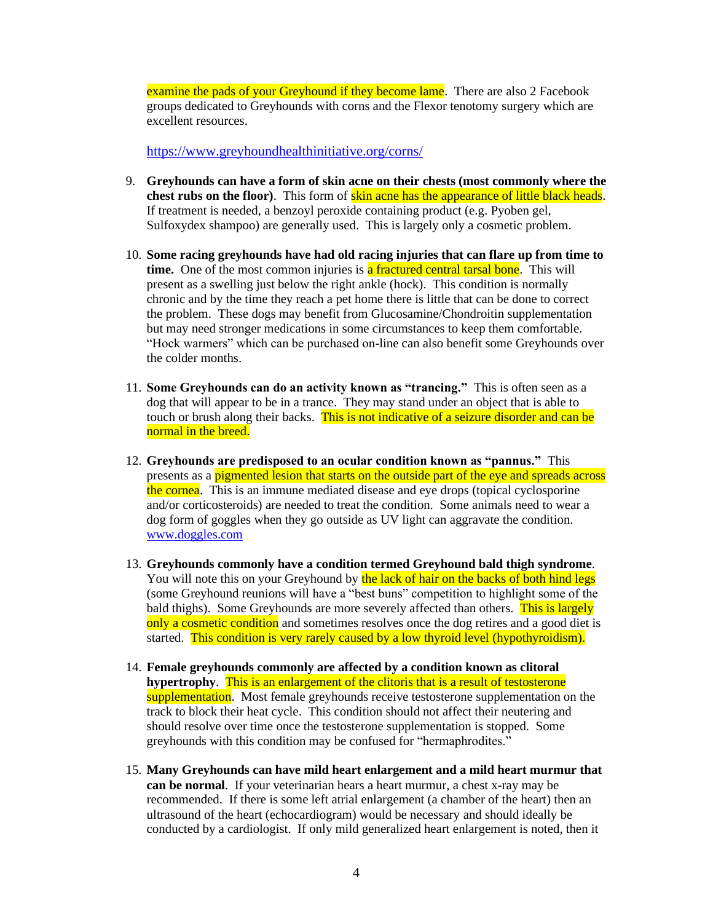examine the pads of your Greyhound if they become lame. There are also 2 Facebook groups dedicated to Greyhounds with corns and the Flexor tenotomy surgery which are excellent resources.

<https://www.greyhoundhealthinitiative.org/corns/>

- 9. **Greyhounds can have a form of skin acne on their chests (most commonly where the chest rubs on the floor**). This form of **skin acne has the appearance of little black heads**. If treatment is needed, a benzoyl peroxide containing product (e.g. Pyoben gel, Sulfoxydex shampoo) are generally used. This is largely only a cosmetic problem.
- 10. **Some racing greyhounds have had old racing injuries that can flare up from time to time.** One of the most common injuries is a fractured central tarsal bone. This will present as a swelling just below the right ankle (hock). This condition is normally chronic and by the time they reach a pet home there is little that can be done to correct the problem. These dogs may benefit from Glucosamine/Chondroitin supplementation but may need stronger medications in some circumstances to keep them comfortable. "Hock warmers" which can be purchased on-line can also benefit some Greyhounds over the colder months.
- 11. **Some Greyhounds can do an activity known as "trancing."** This is often seen as a dog that will appear to be in a trance. They may stand under an object that is able to touch or brush along their backs. This is not indicative of a seizure disorder and can be normal in the breed.
- 12. **Greyhounds are predisposed to an ocular condition known as "pannus."** This presents as a pigmented lesion that starts on the outside part of the eye and spreads across the cornea. This is an immune mediated disease and eye drops (topical cyclosporine and/or corticosteroids) are needed to treat the condition. Some animals need to wear a dog form of goggles when they go outside as UV light can aggravate the condition. [www.doggles.com](http://www.doggles.com/)
- 13. **Greyhounds commonly have a condition termed Greyhound bald thigh syndrome**. You will note this on your Greyhound by the lack of hair on the backs of both hind legs (some Greyhound reunions will have a "best buns" competition to highlight some of the bald thighs). Some Greyhounds are more severely affected than others. This is largely only a cosmetic condition and sometimes resolves once the dog retires and a good diet is started. This condition is very rarely caused by a low thyroid level (hypothyroidism).
- 14. **Female greyhounds commonly are affected by a condition known as clitoral hypertrophy**. This is an enlargement of the clitoris that is a result of testosterone supplementation. Most female greyhounds receive testosterone supplementation on the track to block their heat cycle. This condition should not affect their neutering and should resolve over time once the testosterone supplementation is stopped. Some greyhounds with this condition may be confused for "hermaphrodites."
- 15. **Many Greyhounds can have mild heart enlargement and a mild heart murmur that can be normal**. If your veterinarian hears a heart murmur, a chest x-ray may be recommended. If there is some left atrial enlargement (a chamber of the heart) then an ultrasound of the heart (echocardiogram) would be necessary and should ideally be conducted by a cardiologist. If only mild generalized heart enlargement is noted, then it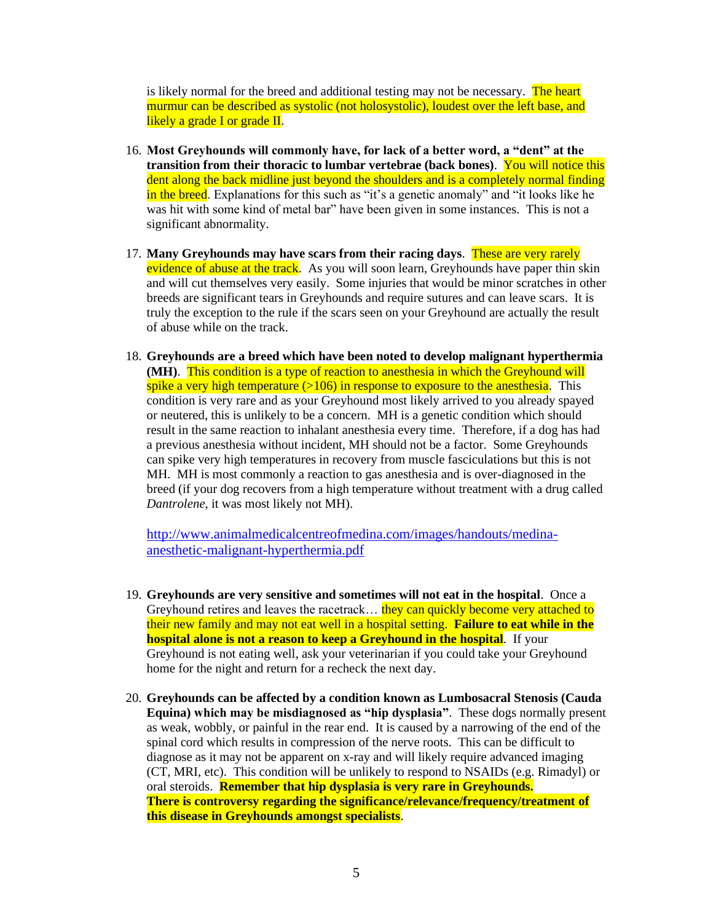is likely normal for the breed and additional testing may not be necessary. The heart murmur can be described as systolic (not holosystolic), loudest over the left base, and likely a grade I or grade II.

- 16. **Most Greyhounds will commonly have, for lack of a better word, a "dent" at the transition from their thoracic to lumbar vertebrae (back bones)**. You will notice this dent along the back midline just beyond the shoulders and is a completely normal finding in the breed. Explanations for this such as "it's a genetic anomaly" and "it looks like he was hit with some kind of metal bar" have been given in some instances. This is not a significant abnormality.
- 17. **Many Greyhounds may have scars from their racing days**. These are very rarely evidence of abuse at the track. As you will soon learn, Greyhounds have paper thin skin and will cut themselves very easily. Some injuries that would be minor scratches in other breeds are significant tears in Greyhounds and require sutures and can leave scars. It is truly the exception to the rule if the scars seen on your Greyhound are actually the result of abuse while on the track.
- 18. **Greyhounds are a breed which have been noted to develop malignant hyperthermia (MH)**. This condition is a type of reaction to anesthesia in which the Greyhound will spike a very high temperature  $(>106)$  in response to exposure to the anesthesia. This condition is very rare and as your Greyhound most likely arrived to you already spayed or neutered, this is unlikely to be a concern. MH is a genetic condition which should result in the same reaction to inhalant anesthesia every time. Therefore, if a dog has had a previous anesthesia without incident, MH should not be a factor. Some Greyhounds can spike very high temperatures in recovery from muscle fasciculations but this is not MH. MH is most commonly a reaction to gas anesthesia and is over-diagnosed in the breed (if your dog recovers from a high temperature without treatment with a drug called *Dantrolene*, it was most likely not MH).

[http://www.animalmedicalcentreofmedina.com/images/handouts/medina](http://www.animalmedicalcentreofmedina.com/images/handouts/medina-anesthetic-malignant-hyperthermia.pdf)[anesthetic-malignant-hyperthermia.pdf](http://www.animalmedicalcentreofmedina.com/images/handouts/medina-anesthetic-malignant-hyperthermia.pdf)

- 19. **Greyhounds are very sensitive and sometimes will not eat in the hospital**. Once a Greyhound retires and leaves the racetrack... they can quickly become very attached to their new family and may not eat well in a hospital setting. **Failure to eat while in the hospital alone is not a reason to keep a Greyhound in the hospital.** If your Greyhound is not eating well, ask your veterinarian if you could take your Greyhound home for the night and return for a recheck the next day.
- 20. **Greyhounds can be affected by a condition known as Lumbosacral Stenosis (Cauda Equina) which may be misdiagnosed as "hip dysplasia"**. These dogs normally present as weak, wobbly, or painful in the rear end. It is caused by a narrowing of the end of the spinal cord which results in compression of the nerve roots. This can be difficult to diagnose as it may not be apparent on x-ray and will likely require advanced imaging (CT, MRI, etc). This condition will be unlikely to respond to NSAIDs (e.g. Rimadyl) or oral steroids. **Remember that hip dysplasia is very rare in Greyhounds. There is controversy regarding the significance/relevance/frequency/treatment of this disease in Greyhounds amongst specialists**.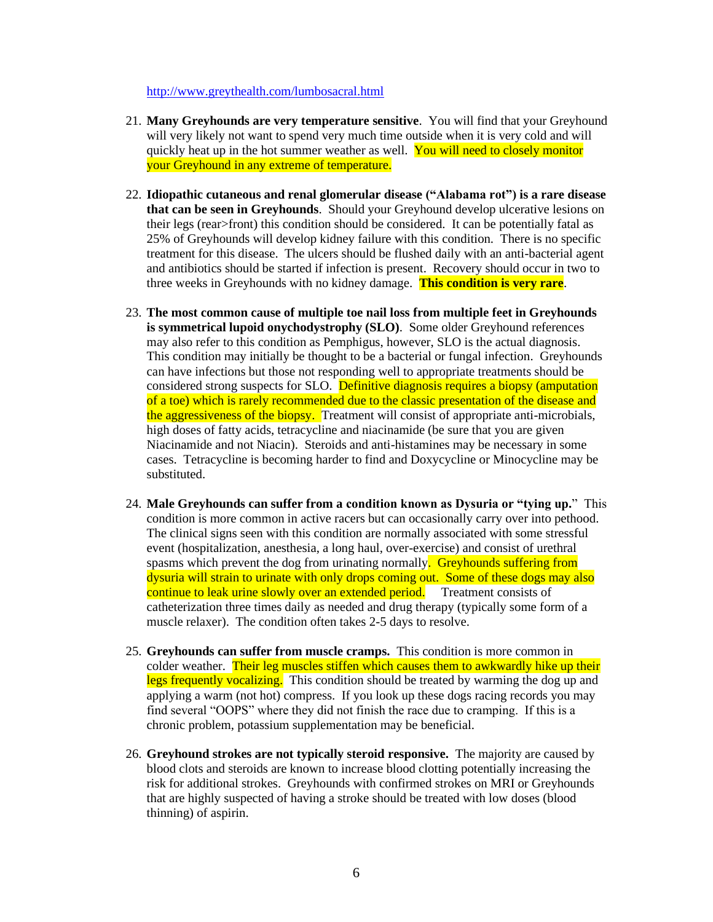http://www.greythealth.com/lumbosacral.html

- 21. **Many Greyhounds are very temperature sensitive**. You will find that your Greyhound will very likely not want to spend very much time outside when it is very cold and will quickly heat up in the hot summer weather as well. You will need to closely monitor your Greyhound in any extreme of temperature.
- 22. **Idiopathic cutaneous and renal glomerular disease ("Alabama rot") is a rare disease that can be seen in Greyhounds**. Should your Greyhound develop ulcerative lesions on their legs (rear>front) this condition should be considered. It can be potentially fatal as 25% of Greyhounds will develop kidney failure with this condition. There is no specific treatment for this disease. The ulcers should be flushed daily with an anti-bacterial agent and antibiotics should be started if infection is present. Recovery should occur in two to three weeks in Greyhounds with no kidney damage. **This condition is very rare**.
- 23. **The most common cause of multiple toe nail loss from multiple feet in Greyhounds is symmetrical lupoid onychodystrophy (SLO)**. Some older Greyhound references may also refer to this condition as Pemphigus, however, SLO is the actual diagnosis. This condition may initially be thought to be a bacterial or fungal infection. Greyhounds can have infections but those not responding well to appropriate treatments should be considered strong suspects for SLO. Definitive diagnosis requires a biopsy (amputation of a toe) which is rarely recommended due to the classic presentation of the disease and the aggressiveness of the biopsy. Treatment will consist of appropriate anti-microbials, high doses of fatty acids, tetracycline and niacinamide (be sure that you are given Niacinamide and not Niacin). Steroids and anti-histamines may be necessary in some cases. Tetracycline is becoming harder to find and Doxycycline or Minocycline may be substituted.
- 24. **Male Greyhounds can suffer from a condition known as Dysuria or "tying up.**" This condition is more common in active racers but can occasionally carry over into pethood. The clinical signs seen with this condition are normally associated with some stressful event (hospitalization, anesthesia, a long haul, over-exercise) and consist of urethral spasms which prevent the dog from urinating normally. Greyhounds suffering from dysuria will strain to urinate with only drops coming out. Some of these dogs may also continue to leak urine slowly over an extended period. Treatment consists of catheterization three times daily as needed and drug therapy (typically some form of a muscle relaxer). The condition often takes 2-5 days to resolve.
- 25. **Greyhounds can suffer from muscle cramps.** This condition is more common in colder weather. Their leg muscles stiffen which causes them to awkwardly hike up their legs frequently vocalizing. This condition should be treated by warming the dog up and applying a warm (not hot) compress. If you look up these dogs racing records you may find several "OOPS" where they did not finish the race due to cramping. If this is a chronic problem, potassium supplementation may be beneficial.
- 26. **Greyhound strokes are not typically steroid responsive.** The majority are caused by blood clots and steroids are known to increase blood clotting potentially increasing the risk for additional strokes. Greyhounds with confirmed strokes on MRI or Greyhounds that are highly suspected of having a stroke should be treated with low doses (blood thinning) of aspirin.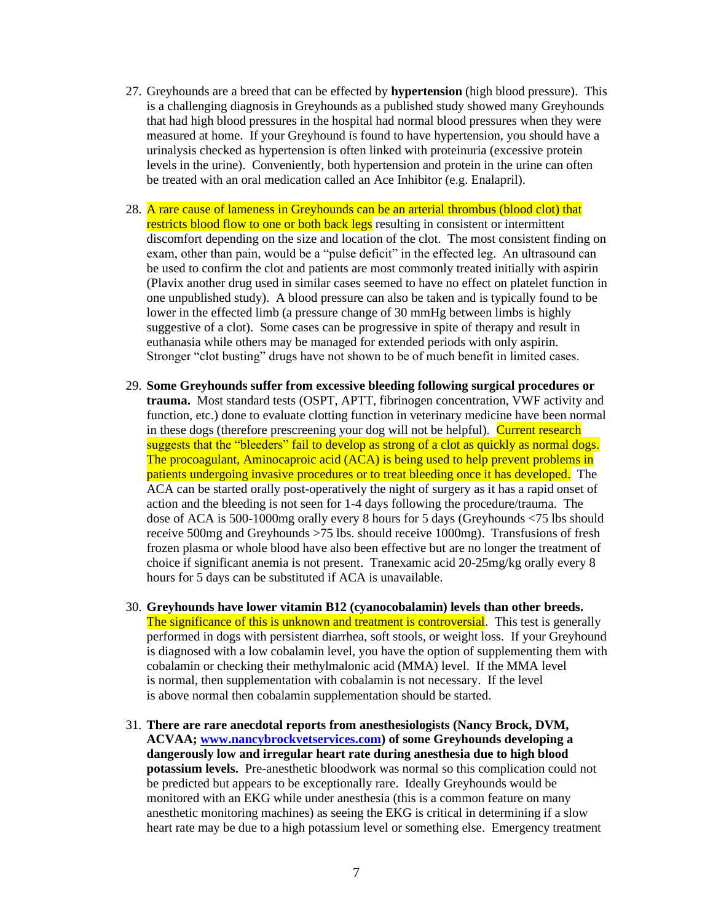- 27. Greyhounds are a breed that can be effected by **hypertension** (high blood pressure). This is a challenging diagnosis in Greyhounds as a published study showed many Greyhounds that had high blood pressures in the hospital had normal blood pressures when they were measured at home. If your Greyhound is found to have hypertension, you should have a urinalysis checked as hypertension is often linked with proteinuria (excessive protein levels in the urine). Conveniently, both hypertension and protein in the urine can often be treated with an oral medication called an Ace Inhibitor (e.g. Enalapril).
- 28. A rare cause of lameness in Greyhounds can be an arterial thrombus (blood clot) that restricts blood flow to one or both back legs resulting in consistent or intermittent discomfort depending on the size and location of the clot. The most consistent finding on exam, other than pain, would be a "pulse deficit" in the effected leg. An ultrasound can be used to confirm the clot and patients are most commonly treated initially with aspirin (Plavix another drug used in similar cases seemed to have no effect on platelet function in one unpublished study). A blood pressure can also be taken and is typically found to be lower in the effected limb (a pressure change of 30 mmHg between limbs is highly suggestive of a clot). Some cases can be progressive in spite of therapy and result in euthanasia while others may be managed for extended periods with only aspirin. Stronger "clot busting" drugs have not shown to be of much benefit in limited cases.
- 29. **Some Greyhounds suffer from excessive bleeding following surgical procedures or trauma.** Most standard tests (OSPT, APTT, fibrinogen concentration, VWF activity and function, etc.) done to evaluate clotting function in veterinary medicine have been normal in these dogs (therefore prescreening your dog will not be helpful). Current research suggests that the "bleeders" fail to develop as strong of a clot as quickly as normal dogs. The procoagulant, Aminocaproic acid (ACA) is being used to help prevent problems in patients undergoing invasive procedures or to treat bleeding once it has developed. The ACA can be started orally post-operatively the night of surgery as it has a rapid onset of action and the bleeding is not seen for 1-4 days following the procedure/trauma. The dose of ACA is 500-1000mg orally every 8 hours for 5 days (Greyhounds <75 lbs should receive 500mg and Greyhounds >75 lbs. should receive 1000mg). Transfusions of fresh frozen plasma or whole blood have also been effective but are no longer the treatment of choice if significant anemia is not present. Tranexamic acid 20-25mg/kg orally every 8 hours for 5 days can be substituted if ACA is unavailable.
- 30. **Greyhounds have lower vitamin B12 (cyanocobalamin) levels than other breeds.** The significance of this is unknown and treatment is controversial. This test is generally performed in dogs with persistent diarrhea, soft stools, or weight loss. If your Greyhound is diagnosed with a low cobalamin level, you have the option of supplementing them with cobalamin or checking their methylmalonic acid (MMA) level. If the MMA level is normal, then supplementation with cobalamin is not necessary. If the level is above normal then cobalamin supplementation should be started.
- 31. **There are rare anecdotal reports from anesthesiologists (Nancy Brock, DVM, ACVAA; [www.nancybrockvetservices.com\)](http://www.nancybrockvetservices.com/) of some Greyhounds developing a dangerously low and irregular heart rate during anesthesia due to high blood potassium levels.** Pre-anesthetic bloodwork was normal so this complication could not be predicted but appears to be exceptionally rare. Ideally Greyhounds would be monitored with an EKG while under anesthesia (this is a common feature on many anesthetic monitoring machines) as seeing the EKG is critical in determining if a slow heart rate may be due to a high potassium level or something else. Emergency treatment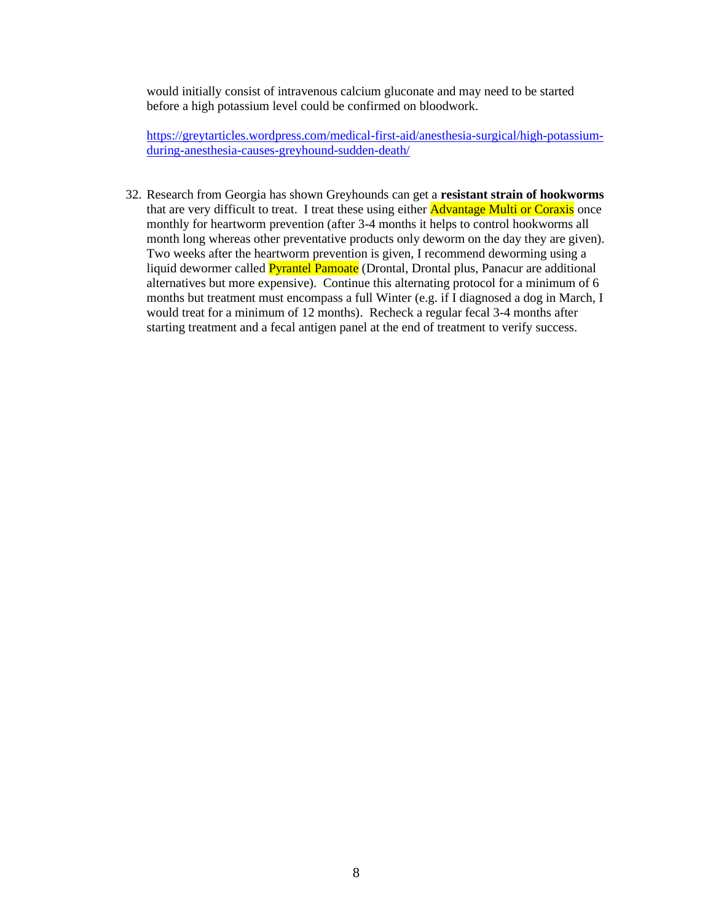would initially consist of intravenous calcium gluconate and may need to be started before a high potassium level could be confirmed on bloodwork.

[https://greytarticles.wordpress.com/medical-first-aid/anesthesia-surgical/high-potassium](https://greytarticles.wordpress.com/medical-first-aid/anesthesia-surgical/high-potassium-during-anesthesia-causes-greyhound-sudden-death/)[during-anesthesia-causes-greyhound-sudden-death/](https://greytarticles.wordpress.com/medical-first-aid/anesthesia-surgical/high-potassium-during-anesthesia-causes-greyhound-sudden-death/)

32. Research from Georgia has shown Greyhounds can get a **resistant strain of hookworms** that are very difficult to treat. I treat these using either **Advantage Multi or Coraxis** once monthly for heartworm prevention (after 3-4 months it helps to control hookworms all month long whereas other preventative products only deworm on the day they are given). Two weeks after the heartworm prevention is given, I recommend deworming using a liquid dewormer called Pyrantel Pamoate (Drontal, Drontal plus, Panacur are additional alternatives but more expensive). Continue this alternating protocol for a minimum of 6 months but treatment must encompass a full Winter (e.g. if I diagnosed a dog in March, I would treat for a minimum of 12 months). Recheck a regular fecal 3-4 months after starting treatment and a fecal antigen panel at the end of treatment to verify success.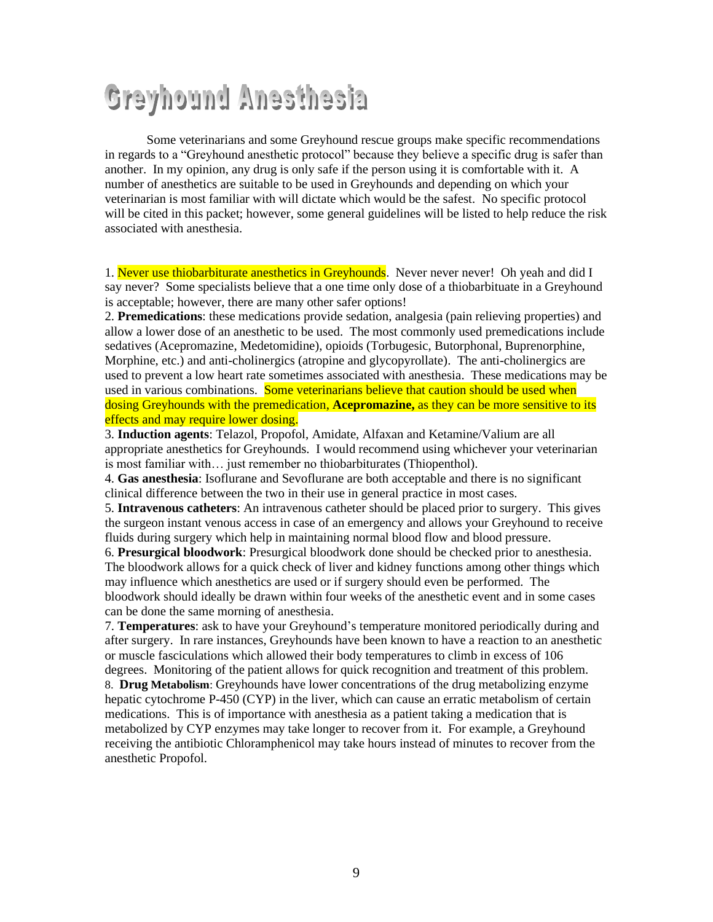# Greyhound Anesthesia

Some veterinarians and some Greyhound rescue groups make specific recommendations in regards to a "Greyhound anesthetic protocol" because they believe a specific drug is safer than another. In my opinion, any drug is only safe if the person using it is comfortable with it. A number of anesthetics are suitable to be used in Greyhounds and depending on which your veterinarian is most familiar with will dictate which would be the safest. No specific protocol will be cited in this packet; however, some general guidelines will be listed to help reduce the risk associated with anesthesia.

1. Never use thiobarbiturate anesthetics in Greyhounds. Never never never! Oh yeah and did I say never? Some specialists believe that a one time only dose of a thiobarbituate in a Greyhound is acceptable; however, there are many other safer options!

2. **Premedications**: these medications provide sedation, analgesia (pain relieving properties) and allow a lower dose of an anesthetic to be used. The most commonly used premedications include sedatives (Acepromazine, Medetomidine), opioids (Torbugesic, Butorphonal, Buprenorphine, Morphine, etc.) and anti-cholinergics (atropine and glycopyrollate). The anti-cholinergics are used to prevent a low heart rate sometimes associated with anesthesia. These medications may be used in various combinations. Some veterinarians believe that caution should be used when dosing Greyhounds with the premedication, **Acepromazine,** as they can be more sensitive to its effects and may require lower dosing.

3. **Induction agents**: Telazol, Propofol, Amidate, Alfaxan and Ketamine/Valium are all appropriate anesthetics for Greyhounds. I would recommend using whichever your veterinarian is most familiar with… just remember no thiobarbiturates (Thiopenthol).

4. **Gas anesthesia**: Isoflurane and Sevoflurane are both acceptable and there is no significant clinical difference between the two in their use in general practice in most cases.

5. **Intravenous catheters**: An intravenous catheter should be placed prior to surgery. This gives the surgeon instant venous access in case of an emergency and allows your Greyhound to receive fluids during surgery which help in maintaining normal blood flow and blood pressure.

6. **Presurgical bloodwork**: Presurgical bloodwork done should be checked prior to anesthesia. The bloodwork allows for a quick check of liver and kidney functions among other things which may influence which anesthetics are used or if surgery should even be performed. The bloodwork should ideally be drawn within four weeks of the anesthetic event and in some cases can be done the same morning of anesthesia.

7. **Temperatures**: ask to have your Greyhound's temperature monitored periodically during and after surgery. In rare instances, Greyhounds have been known to have a reaction to an anesthetic or muscle fasciculations which allowed their body temperatures to climb in excess of 106 degrees. Monitoring of the patient allows for quick recognition and treatment of this problem.

8. **Drug Metabolism**: Greyhounds have lower concentrations of the drug metabolizing enzyme hepatic cytochrome P-450 (CYP) in the liver, which can cause an erratic metabolism of certain medications. This is of importance with anesthesia as a patient taking a medication that is metabolized by CYP enzymes may take longer to recover from it. For example, a Greyhound receiving the antibiotic Chloramphenicol may take hours instead of minutes to recover from the anesthetic Propofol.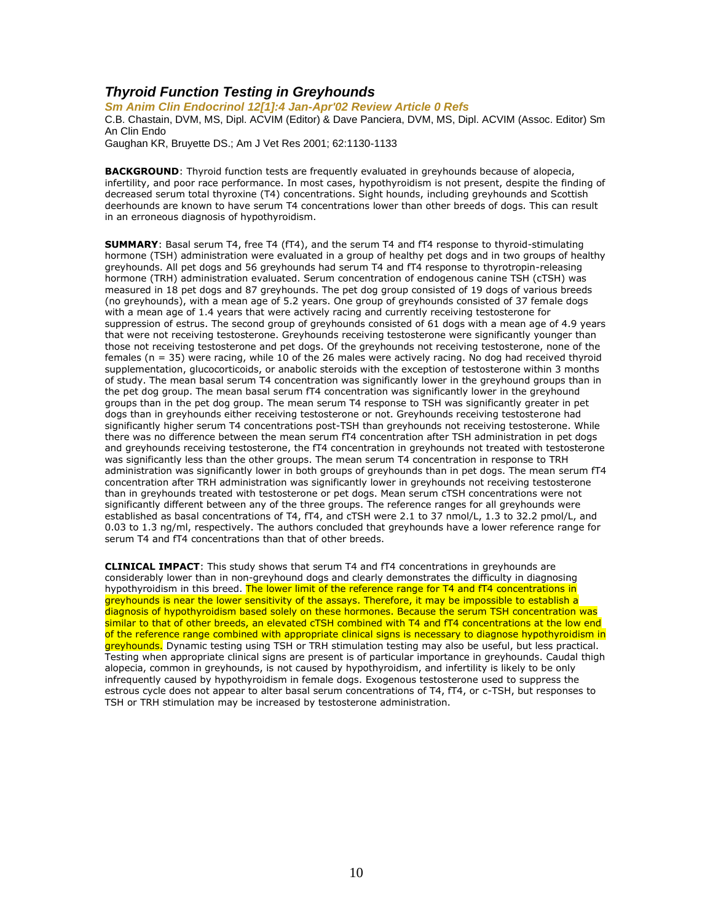## *Thyroid Function Testing in Greyhounds*

*Sm Anim Clin Endocrinol 12[1]:4 Jan-Apr'02 Review Article 0 Refs*

C.B. Chastain, DVM, MS, Dipl. ACVIM (Editor) & Dave Panciera, DVM, MS, Dipl. ACVIM (Assoc. Editor) Sm An Clin Endo

Gaughan KR, Bruyette DS.; Am J Vet Res 2001; 62:1130-1133

**BACKGROUND**: Thyroid function tests are frequently evaluated in greyhounds because of alopecia, infertility, and poor race performance. In most cases, hypothyroidism is not present, despite the finding of decreased serum total thyroxine (T4) concentrations. Sight hounds, including greyhounds and Scottish deerhounds are known to have serum T4 concentrations lower than other breeds of dogs. This can result in an erroneous diagnosis of hypothyroidism.

**SUMMARY**: Basal serum T4, free T4 (fT4), and the serum T4 and fT4 response to thyroid-stimulating hormone (TSH) administration were evaluated in a group of healthy pet dogs and in two groups of healthy greyhounds. All pet dogs and 56 greyhounds had serum T4 and fT4 response to thyrotropin-releasing hormone (TRH) administration evaluated. Serum concentration of endogenous canine TSH (cTSH) was measured in 18 pet dogs and 87 greyhounds. The pet dog group consisted of 19 dogs of various breeds (no greyhounds), with a mean age of 5.2 years. One group of greyhounds consisted of 37 female dogs with a mean age of 1.4 years that were actively racing and currently receiving testosterone for suppression of estrus. The second group of greyhounds consisted of 61 dogs with a mean age of 4.9 years that were not receiving testosterone. Greyhounds receiving testosterone were significantly younger than those not receiving testosterone and pet dogs. Of the greyhounds not receiving testosterone, none of the females (n = 35) were racing, while 10 of the 26 males were actively racing. No dog had received thyroid supplementation, glucocorticoids, or anabolic steroids with the exception of testosterone within 3 months of study. The mean basal serum T4 concentration was significantly lower in the greyhound groups than in the pet dog group. The mean basal serum fT4 concentration was significantly lower in the greyhound groups than in the pet dog group. The mean serum T4 response to TSH was significantly greater in pet dogs than in greyhounds either receiving testosterone or not. Greyhounds receiving testosterone had significantly higher serum T4 concentrations post-TSH than greyhounds not receiving testosterone. While there was no difference between the mean serum fT4 concentration after TSH administration in pet dogs and greyhounds receiving testosterone, the fT4 concentration in greyhounds not treated with testosterone was significantly less than the other groups. The mean serum T4 concentration in response to TRH administration was significantly lower in both groups of greyhounds than in pet dogs. The mean serum fT4 concentration after TRH administration was significantly lower in greyhounds not receiving testosterone than in greyhounds treated with testosterone or pet dogs. Mean serum cTSH concentrations were not significantly different between any of the three groups. The reference ranges for all greyhounds were established as basal concentrations of T4, fT4, and cTSH were 2.1 to 37 nmol/L, 1.3 to 32.2 pmol/L, and 0.03 to 1.3 ng/ml, respectively. The authors concluded that greyhounds have a lower reference range for serum T4 and fT4 concentrations than that of other breeds.

**CLINICAL IMPACT**: This study shows that serum T4 and fT4 concentrations in greyhounds are considerably lower than in non-greyhound dogs and clearly demonstrates the difficulty in diagnosing hypothyroidism in this breed. The lower limit of the reference range for T4 and fT4 concentrations in greyhounds is near the lower sensitivity of the assays. Therefore, it may be impossible to establish a diagnosis of hypothyroidism based solely on these hormones. Because the serum TSH concentration was similar to that of other breeds, an elevated cTSH combined with T4 and fT4 concentrations at the low end of the reference range combined with appropriate clinical signs is necessary to diagnose hypothyroidism in greyhounds. Dynamic testing using TSH or TRH stimulation testing may also be useful, but less practical. Testing when appropriate clinical signs are present is of particular importance in greyhounds. Caudal thigh alopecia, common in greyhounds, is not caused by hypothyroidism, and infertility is likely to be only infrequently caused by hypothyroidism in female dogs. Exogenous testosterone used to suppress the estrous cycle does not appear to alter basal serum concentrations of T4, fT4, or c-TSH, but responses to TSH or TRH stimulation may be increased by testosterone administration.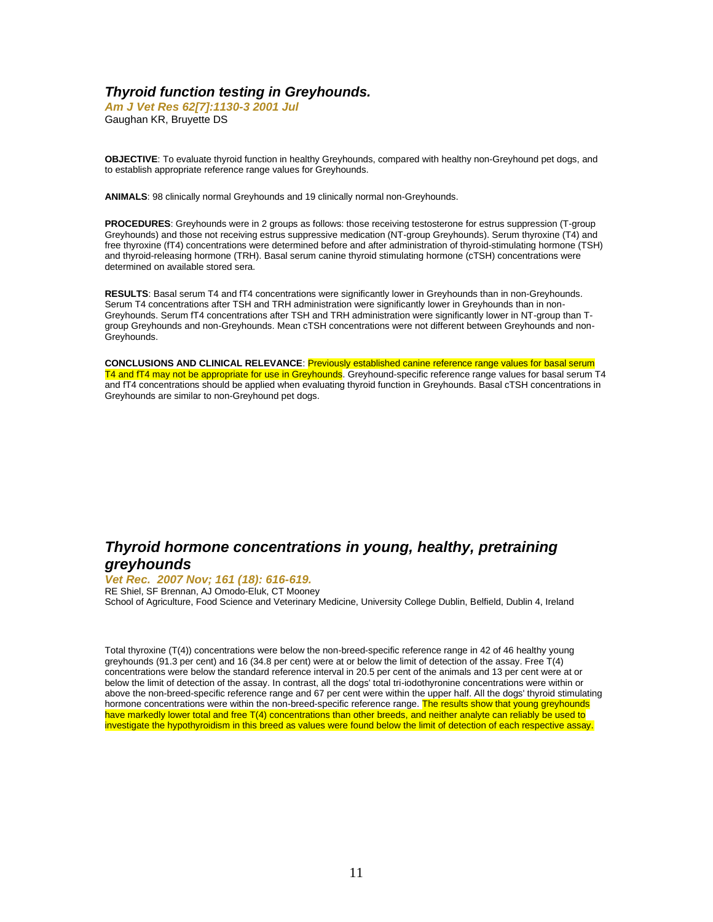#### *Thyroid function testing in Greyhounds.*

*Am J Vet Res 62[7]:1130-3 2001 Jul* Gaughan KR, Bruyette DS

**OBJECTIVE**: To evaluate thyroid function in healthy Greyhounds, compared with healthy non-Greyhound pet dogs, and to establish appropriate reference range values for Greyhounds.

**ANIMALS**: 98 clinically normal Greyhounds and 19 clinically normal non-Greyhounds.

**PROCEDURES**: Greyhounds were in 2 groups as follows: those receiving testosterone for estrus suppression (T-group Greyhounds) and those not receiving estrus suppressive medication (NT-group Greyhounds). Serum thyroxine (T4) and free thyroxine (fT4) concentrations were determined before and after administration of thyroid-stimulating hormone (TSH) and thyroid-releasing hormone (TRH). Basal serum canine thyroid stimulating hormone (cTSH) concentrations were determined on available stored sera.

**RESULTS**: Basal serum T4 and fT4 concentrations were significantly lower in Greyhounds than in non-Greyhounds. Serum T4 concentrations after TSH and TRH administration were significantly lower in Greyhounds than in non-Greyhounds. Serum fT4 concentrations after TSH and TRH administration were significantly lower in NT-group than Tgroup Greyhounds and non-Greyhounds. Mean cTSH concentrations were not different between Greyhounds and non-Greyhounds.

**CONCLUSIONS AND CLINICAL RELEVANCE**: Previously established canine reference range values for basal serum T4 and fT4 may not be appropriate for use in Greyhounds. Greyhound-specific reference range values for basal serum T4 and fT4 concentrations should be applied when evaluating thyroid function in Greyhounds. Basal cTSH concentrations in Greyhounds are similar to non-Greyhound pet dogs.

# *Thyroid hormone concentrations in young, healthy, pretraining greyhounds*

#### *Vet Rec. 2007 Nov; 161 (18): 616-619.*

RE Shiel, SF Brennan, AJ Omodo-Eluk, CT Mooney School of Agriculture, Food Science and Veterinary Medicine, University College Dublin, Belfield, Dublin 4, Ireland

Total thyroxine (T(4)) concentrations were below the non-breed-specific reference range in 42 of 46 healthy young greyhounds (91.3 per cent) and 16 (34.8 per cent) were at or below the limit of detection of the assay. Free T(4) concentrations were below the standard reference interval in 20.5 per cent of the animals and 13 per cent were at or below the limit of detection of the assay. In contrast, all the dogs' total tri-iodothyronine concentrations were within or above the non-breed-specific reference range and 67 per cent were within the upper half. All the dogs' thyroid stimulating hormone concentrations were within the non-breed-specific reference range. The results show that young greyhounds have markedly lower total and free T(4) concentrations than other breeds, and neither analyte can reliably be used to investigate the hypothyroidism in this breed as values were found below the limit of detection of each respective assay.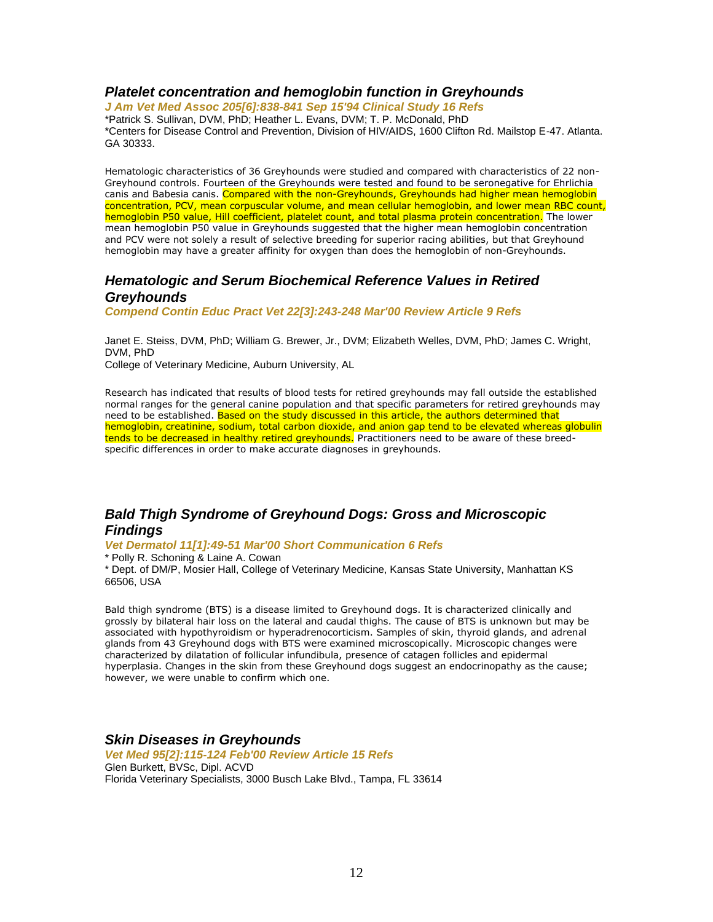#### *Platelet concentration and hemoglobin function in Greyhounds*

*J Am Vet Med Assoc 205[6]:838-841 Sep 15'94 Clinical Study 16 Refs* \*Patrick S. Sullivan, DVM, PhD; Heather L. Evans, DVM; T. P. McDonald, PhD \*Centers for Disease Control and Prevention, Division of HIV/AIDS, 1600 Clifton Rd. Mailstop E-47. Atlanta. GA 30333.

Hematologic characteristics of 36 Greyhounds were studied and compared with characteristics of 22 non-Greyhound controls. Fourteen of the Greyhounds were tested and found to be seronegative for Ehrlichia canis and Babesia canis. Compared with the non-Greyhounds, Greyhounds had higher mean hemoglobin concentration, PCV, mean corpuscular volume, and mean cellular hemoglobin, and lower mean RBC count, hemoglobin P50 value, Hill coefficient, platelet count, and total plasma protein concentration. The lower mean hemoglobin P50 value in Greyhounds suggested that the higher mean hemoglobin concentration and PCV were not solely a result of selective breeding for superior racing abilities, but that Greyhound hemoglobin may have a greater affinity for oxygen than does the hemoglobin of non-Greyhounds.

# *Hematologic and Serum Biochemical Reference Values in Retired Greyhounds*

*Compend Contin Educ Pract Vet 22[3]:243-248 Mar'00 Review Article 9 Refs*

Janet E. Steiss, DVM, PhD; William G. Brewer, Jr., DVM; Elizabeth Welles, DVM, PhD; James C. Wright, DVM, PhD

College of Veterinary Medicine, Auburn University, AL

Research has indicated that results of blood tests for retired greyhounds may fall outside the established normal ranges for the general canine population and that specific parameters for retired greyhounds may need to be established. Based on the study discussed in this article, the authors determined that hemoglobin, creatinine, sodium, total carbon dioxide, and anion gap tend to be elevated whereas globulin tends to be decreased in healthy retired greyhounds. Practitioners need to be aware of these breedspecific differences in order to make accurate diagnoses in greyhounds.

# *Bald Thigh Syndrome of Greyhound Dogs: Gross and Microscopic Findings*

*Vet Dermatol 11[1]:49-51 Mar'00 Short Communication 6 Refs*

\* Polly R. Schoning & Laine A. Cowan

\* Dept. of DM/P, Mosier Hall, College of Veterinary Medicine, Kansas State University, Manhattan KS 66506, USA

Bald thigh syndrome (BTS) is a disease limited to Greyhound dogs. It is characterized clinically and grossly by bilateral hair loss on the lateral and caudal thighs. The cause of BTS is unknown but may be associated with hypothyroidism or hyperadrenocorticism. Samples of skin, thyroid glands, and adrenal glands from 43 Greyhound dogs with BTS were examined microscopically. Microscopic changes were characterized by dilatation of follicular infundibula, presence of catagen follicles and epidermal hyperplasia. Changes in the skin from these Greyhound dogs suggest an endocrinopathy as the cause; however, we were unable to confirm which one.

#### *Skin Diseases in Greyhounds*

*Vet Med 95[2]:115-124 Feb'00 Review Article 15 Refs* Glen Burkett, BVSc, Dipl. ACVD Florida Veterinary Specialists, 3000 Busch Lake Blvd., Tampa, FL 33614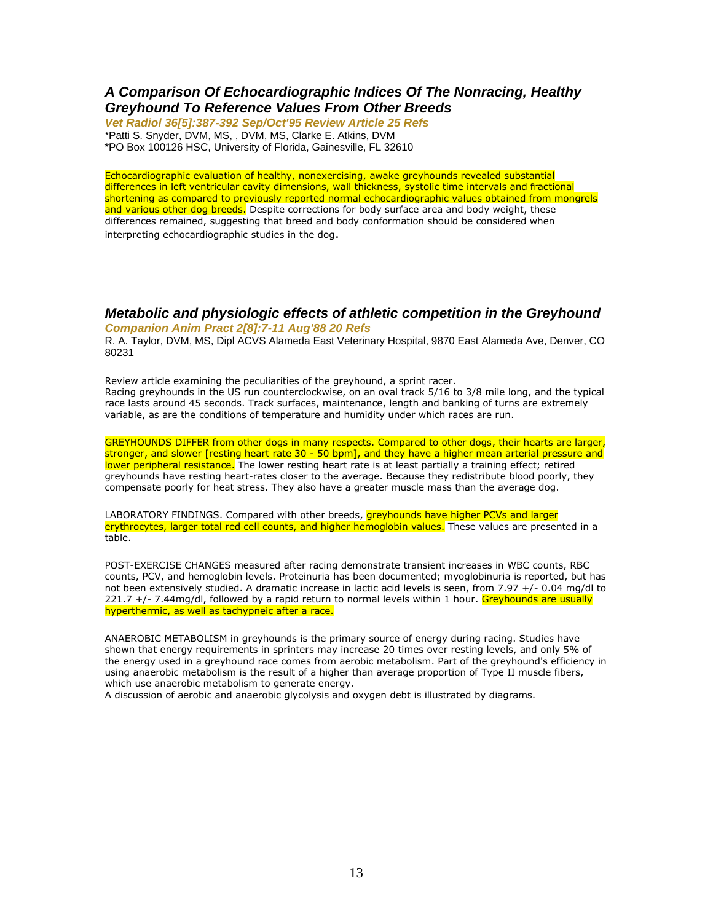## *A Comparison Of Echocardiographic Indices Of The Nonracing, Healthy Greyhound To Reference Values From Other Breeds*

*Vet Radiol 36[5]:387-392 Sep/Oct'95 Review Article 25 Refs* \*Patti S. Snyder, DVM, MS, , DVM, MS, Clarke E. Atkins, DVM \*PO Box 100126 HSC, University of Florida, Gainesville, FL 32610

Echocardiographic evaluation of healthy, nonexercising, awake greyhounds revealed substantial differences in left ventricular cavity dimensions, wall thickness, systolic time intervals and fractional shortening as compared to previously reported normal echocardiographic values obtained from mongrels and various other dog breeds. Despite corrections for body surface area and body weight, these differences remained, suggesting that breed and body conformation should be considered when interpreting echocardiographic studies in the dog.

#### *Metabolic and physiologic effects of athletic competition in the Greyhound Companion Anim Pract 2[8]:7-11 Aug'88 20 Refs*

R. A. Taylor, DVM, MS, Dipl ACVS Alameda East Veterinary Hospital, 9870 East Alameda Ave, Denver, CO 80231

Review article examining the peculiarities of the greyhound, a sprint racer. Racing greyhounds in the US run counterclockwise, on an oval track 5/16 to 3/8 mile long, and the typical race lasts around 45 seconds. Track surfaces, maintenance, length and banking of turns are extremely variable, as are the conditions of temperature and humidity under which races are run.

GREYHOUNDS DIFFER from other dogs in many respects. Compared to other dogs, their hearts are larger, stronger, and slower [resting heart rate 30 - 50 bpm], and they have a higher mean arterial pressure and lower peripheral resistance. The lower resting heart rate is at least partially a training effect; retired greyhounds have resting heart-rates closer to the average. Because they redistribute blood poorly, they compensate poorly for heat stress. They also have a greater muscle mass than the average dog.

LABORATORY FINDINGS. Compared with other breeds, **greyhounds have higher PCVs and larger** erythrocytes, larger total red cell counts, and higher hemoglobin values. These values are presented in a table.

POST-EXERCISE CHANGES measured after racing demonstrate transient increases in WBC counts, RBC counts, PCV, and hemoglobin levels. Proteinuria has been documented; myoglobinuria is reported, but has not been extensively studied. A dramatic increase in lactic acid levels is seen, from 7.97 +/- 0.04 mg/dl to 221.7 +/- 7.44mg/dl, followed by a rapid return to normal levels within 1 hour. Greyhounds are usually hyperthermic, as well as tachypneic after a race.

ANAEROBIC METABOLISM in greyhounds is the primary source of energy during racing. Studies have shown that energy requirements in sprinters may increase 20 times over resting levels, and only 5% of the energy used in a greyhound race comes from aerobic metabolism. Part of the greyhound's efficiency in using anaerobic metabolism is the result of a higher than average proportion of Type II muscle fibers, which use anaerobic metabolism to generate energy.

A discussion of aerobic and anaerobic glycolysis and oxygen debt is illustrated by diagrams.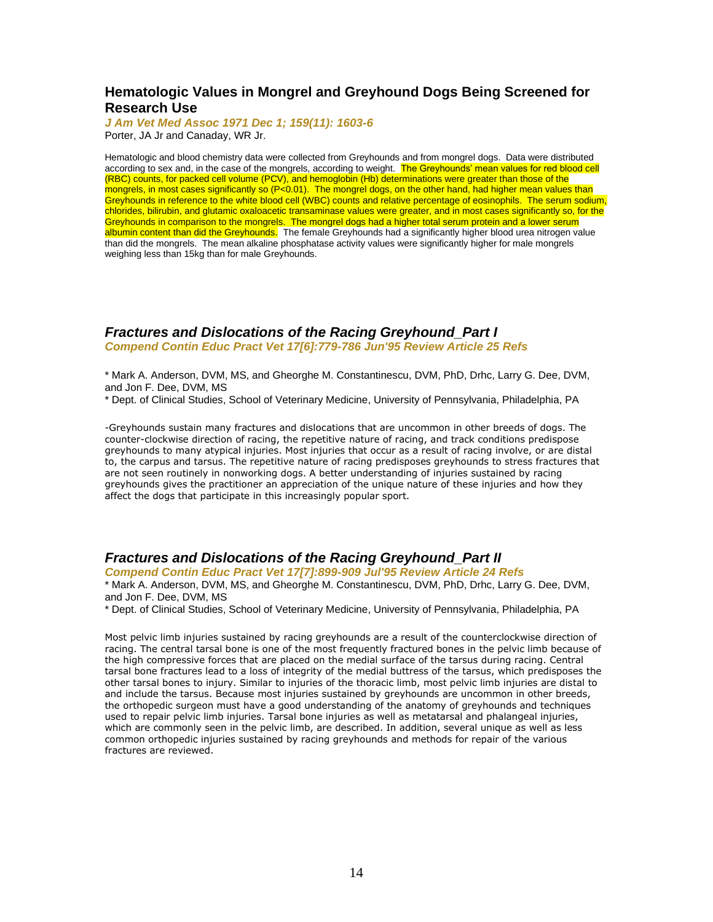# **Hematologic Values in Mongrel and Greyhound Dogs Being Screened for Research Use**

*J Am Vet Med Assoc 1971 Dec 1; 159(11): 1603-6* Porter, JA Jr and Canaday, WR Jr.

Hematologic and blood chemistry data were collected from Greyhounds and from mongrel dogs. Data were distributed according to sex and, in the case of the mongrels, according to weight. The Greyhounds' mean values for red blood cell (RBC) counts, for packed cell volume (PCV), and hemoglobin (Hb) determinations were greater than those of the mongrels, in most cases significantly so (P<0.01). The mongrel dogs, on the other hand, had higher mean values than Greyhounds in reference to the white blood cell (WBC) counts and relative percentage of eosinophils. The serum sodium, chlorides, bilirubin, and glutamic oxaloacetic transaminase values were greater, and in most cases significantly so, for the Greyhounds in comparison to the mongrels. The mongrel dogs had a higher total serum protein and a lower serum albumin content than did the Greyhounds. The female Greyhounds had a significantly higher blood urea nitrogen value than did the mongrels. The mean alkaline phosphatase activity values were significantly higher for male mongrels weighing less than 15kg than for male Greyhounds.

#### *Fractures and Dislocations of the Racing Greyhound\_Part I Compend Contin Educ Pract Vet 17[6]:779-786 Jun'95 Review Article 25 Refs*

\* Mark A. Anderson, DVM, MS, and Gheorghe M. Constantinescu, DVM, PhD, Drhc, Larry G. Dee, DVM, and Jon F. Dee, DVM, MS

\* Dept. of Clinical Studies, School of Veterinary Medicine, University of Pennsylvania, Philadelphia, PA

-Greyhounds sustain many fractures and dislocations that are uncommon in other breeds of dogs. The counter-clockwise direction of racing, the repetitive nature of racing, and track conditions predispose greyhounds to many atypical injuries. Most injuries that occur as a result of racing involve, or are distal to, the carpus and tarsus. The repetitive nature of racing predisposes greyhounds to stress fractures that are not seen routinely in nonworking dogs. A better understanding of injuries sustained by racing greyhounds gives the practitioner an appreciation of the unique nature of these injuries and how they affect the dogs that participate in this increasingly popular sport.

#### *Fractures and Dislocations of the Racing Greyhound\_Part II*

*Compend Contin Educ Pract Vet 17[7]:899-909 Jul'95 Review Article 24 Refs* \* Mark A. Anderson, DVM, MS, and Gheorghe M. Constantinescu, DVM, PhD, Drhc, Larry G. Dee, DVM, and Jon F. Dee, DVM, MS

\* Dept. of Clinical Studies, School of Veterinary Medicine, University of Pennsylvania, Philadelphia, PA

Most pelvic limb injuries sustained by racing greyhounds are a result of the counterclockwise direction of racing. The central tarsal bone is one of the most frequently fractured bones in the pelvic limb because of the high compressive forces that are placed on the medial surface of the tarsus during racing. Central tarsal bone fractures lead to a loss of integrity of the medial buttress of the tarsus, which predisposes the other tarsal bones to injury. Similar to injuries of the thoracic limb, most pelvic limb injuries are distal to and include the tarsus. Because most injuries sustained by greyhounds are uncommon in other breeds, the orthopedic surgeon must have a good understanding of the anatomy of greyhounds and techniques used to repair pelvic limb injuries. Tarsal bone injuries as well as metatarsal and phalangeal injuries, which are commonly seen in the pelvic limb, are described. In addition, several unique as well as less common orthopedic injuries sustained by racing greyhounds and methods for repair of the various fractures are reviewed.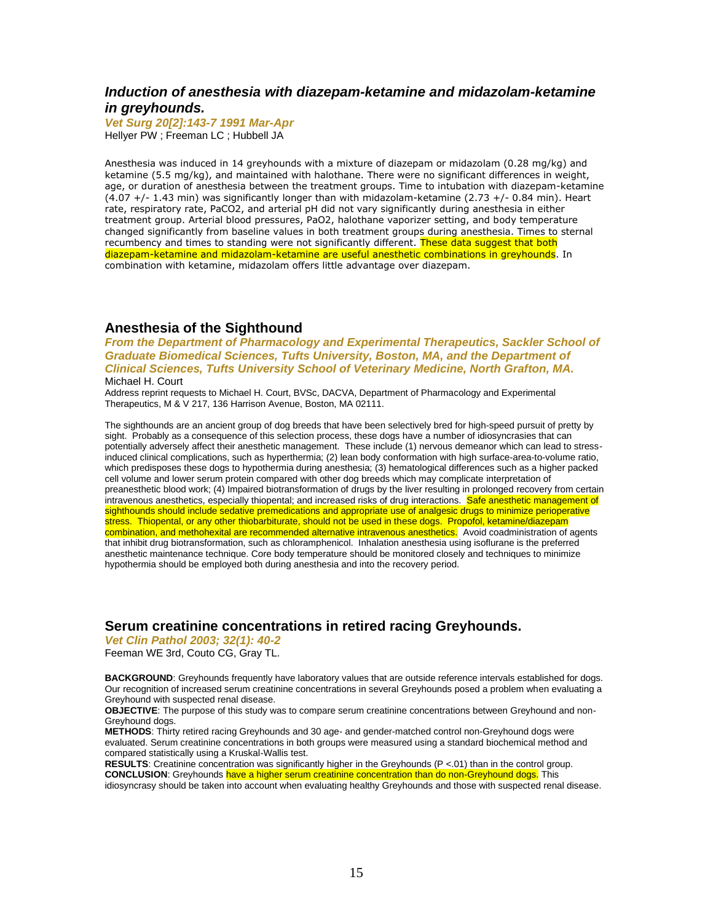#### *Induction of anesthesia with diazepam-ketamine and midazolam-ketamine in greyhounds.*

*Vet Surg 20[2]:143-7 1991 Mar-Apr* Hellyer PW ; Freeman LC ; Hubbell JA

Anesthesia was induced in 14 greyhounds with a mixture of diazepam or midazolam (0.28 mg/kg) and ketamine (5.5 mg/kg), and maintained with halothane. There were no significant differences in weight, age, or duration of anesthesia between the treatment groups. Time to intubation with diazepam-ketamine (4.07 +/- 1.43 min) was significantly longer than with midazolam-ketamine (2.73 +/- 0.84 min). Heart rate, respiratory rate, PaCO2, and arterial pH did not vary significantly during anesthesia in either treatment group. Arterial blood pressures, PaO2, halothane vaporizer setting, and body temperature changed significantly from baseline values in both treatment groups during anesthesia. Times to sternal recumbency and times to standing were not significantly different. These data suggest that both diazepam-ketamine and midazolam-ketamine are useful anesthetic combinations in greyhounds. In combination with ketamine, midazolam offers little advantage over diazepam.

#### **Anesthesia of the Sighthound**

*From the Department of Pharmacology and Experimental Therapeutics, Sackler School of Graduate Biomedical Sciences, Tufts University, Boston, MA, and the Department of Clinical Sciences, Tufts University School of Veterinary Medicine, North Grafton, MA.*  Michael H. Court

Address reprint requests to Michael H. Court, BVSc, DACVA, Department of Pharmacology and Experimental Therapeutics, M & V 217, 136 Harrison Avenue, Boston, MA 02111.

The sighthounds are an ancient group of dog breeds that have been selectively bred for high-speed pursuit of pretty by sight. Probably as a consequence of this selection process, these dogs have a number of idiosyncrasies that can potentially adversely affect their anesthetic management. These include (1) nervous demeanor which can lead to stressinduced clinical complications, such as hyperthermia; (2) lean body conformation with high surface-area-to-volume ratio, which predisposes these dogs to hypothermia during anesthesia; (3) hematological differences such as a higher packed cell volume and lower serum protein compared with other dog breeds which may complicate interpretation of preanesthetic blood work; (4) Impaired biotransformation of drugs by the liver resulting in prolonged recovery from certain intravenous anesthetics, especially thiopental; and increased risks of drug interactions. Safe anesthetic management of sighthounds should include sedative premedications and appropriate use of analgesic drugs to minimize perioperative stress. Thiopental, or any other thiobarbiturate, should not be used in these dogs. Propofol, ketamine/diazepam combination, and methohexital are recommended alternative intravenous anesthetics. Avoid coadministration of agents that inhibit drug biotransformation, such as chloramphenicol. Inhalation anesthesia using isoflurane is the preferred anesthetic maintenance technique. Core body temperature should be monitored closely and techniques to minimize hypothermia should be employed both during anesthesia and into the recovery period.

#### **Serum creatinine concentrations in retired racing Greyhounds.**

*Vet Clin Pathol 2003; 32(1): 40-2*

Feeman WE 3rd, Couto CG, Gray TL.

**BACKGROUND**: Greyhounds frequently have laboratory values that are outside reference intervals established for dogs. Our recognition of increased serum creatinine concentrations in several Greyhounds posed a problem when evaluating a Greyhound with suspected renal disease.

**OBJECTIVE**: The purpose of this study was to compare serum creatinine concentrations between Greyhound and non-Greyhound dogs.

**METHODS**: Thirty retired racing Greyhounds and 30 age- and gender-matched control non-Greyhound dogs were evaluated. Serum creatinine concentrations in both groups were measured using a standard biochemical method and compared statistically using a Kruskal-Wallis test.

**RESULTS**: Creatinine concentration was significantly higher in the Greyhounds (P <.01) than in the control group. **CONCLUSION:** Greyhounds have a higher serum creatinine concentration than do non-Greyhound dogs. This idiosyncrasy should be taken into account when evaluating healthy Greyhounds and those with suspected renal disease.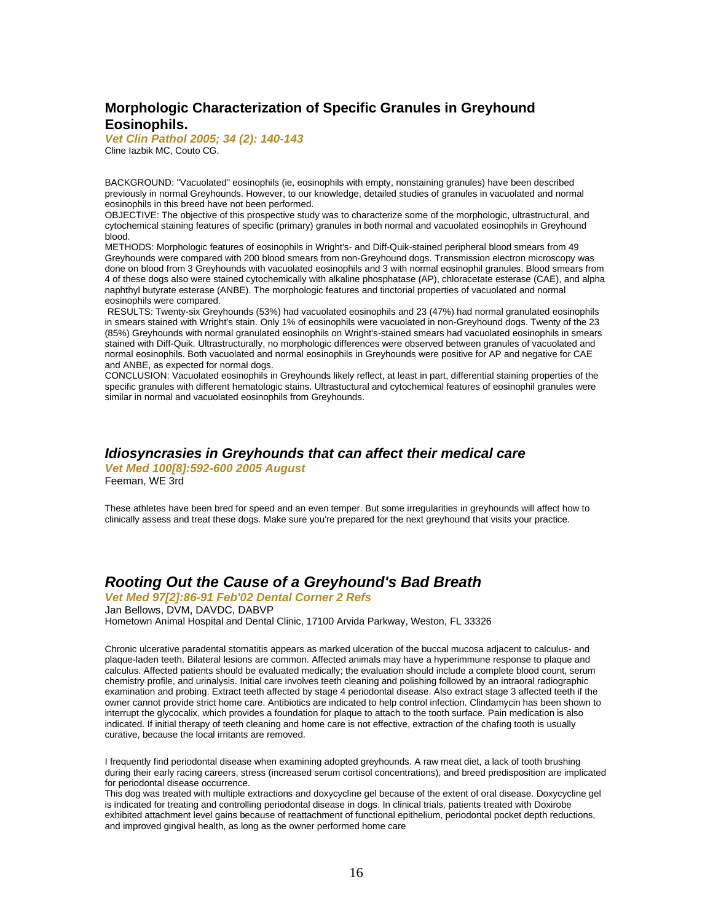# **Morphologic Characterization of Specific Granules in Greyhound Eosinophils.**

*Vet Clin Pathol 2005; 34 (2): 140-143* Cline Iazbik MC, Couto CG.

BACKGROUND: "Vacuolated" eosinophils (ie, eosinophils with empty, nonstaining granules) have been described previously in normal Greyhounds. However, to our knowledge, detailed studies of granules in vacuolated and normal eosinophils in this breed have not been performed.

OBJECTIVE: The objective of this prospective study was to characterize some of the morphologic, ultrastructural, and cytochemical staining features of specific (primary) granules in both normal and vacuolated eosinophils in Greyhound blood.

METHODS: Morphologic features of eosinophils in Wright's- and Diff-Quik-stained peripheral blood smears from 49 Greyhounds were compared with 200 blood smears from non-Greyhound dogs. Transmission electron microscopy was done on blood from 3 Greyhounds with vacuolated eosinophils and 3 with normal eosinophil granules. Blood smears from 4 of these dogs also were stained cytochemically with alkaline phosphatase (AP), chloracetate esterase (CAE), and alpha naphthyl butyrate esterase (ANBE). The morphologic features and tinctorial properties of vacuolated and normal eosinophils were compared.

RESULTS: Twenty-six Greyhounds (53%) had vacuolated eosinophils and 23 (47%) had normal granulated eosinophils in smears stained with Wright's stain. Only 1% of eosinophils were vacuolated in non-Greyhound dogs. Twenty of the 23 (85%) Greyhounds with normal granulated eosinophils on Wright's-stained smears had vacuolated eosinophils in smears stained with Diff-Quik. Ultrastructurally, no morphologic differences were observed between granules of vacuolated and normal eosinophils. Both vacuolated and normal eosinophils in Greyhounds were positive for AP and negative for CAE and ANBE, as expected for normal dogs.

CONCLUSION: Vacuolated eosinophils in Greyhounds likely reflect, at least in part, differential staining properties of the specific granules with different hematologic stains. Ultrastuctural and cytochemical features of eosinophil granules were similar in normal and vacuolated eosinophils from Greyhounds.

#### *Idiosyncrasies in Greyhounds that can affect their medical care*

*Vet Med 100[8]:592-600 2005 August* Feeman, WE 3rd

These athletes have been bred for speed and an even temper. But some irregularities in greyhounds will affect how to clinically assess and treat these dogs. Make sure you're prepared for the next greyhound that visits your practice.

# *Rooting Out the Cause of a Greyhound's Bad Breath*

*Vet Med 97[2]:86-91 Feb'02 Dental Corner 2 Refs* Jan Bellows, DVM, DAVDC, DABVP Hometown Animal Hospital and Dental Clinic, 17100 Arvida Parkway, Weston, FL 33326

Chronic ulcerative paradental stomatitis appears as marked ulceration of the buccal mucosa adjacent to calculus- and plaque-laden teeth. Bilateral lesions are common. Affected animals may have a hyperimmune response to plaque and calculus. Affected patients should be evaluated medically; the evaluation should include a complete blood count, serum chemistry profile, and urinalysis. Initial care involves teeth cleaning and polishing followed by an intraoral radiographic examination and probing. Extract teeth affected by stage 4 periodontal disease. Also extract stage 3 affected teeth if the owner cannot provide strict home care. Antibiotics are indicated to help control infection. Clindamycin has been shown to interrupt the glycocalix, which provides a foundation for plaque to attach to the tooth surface. Pain medication is also indicated. If initial therapy of teeth cleaning and home care is not effective, extraction of the chafing tooth is usually curative, because the local irritants are removed.

I frequently find periodontal disease when examining adopted greyhounds. A raw meat diet, a lack of tooth brushing during their early racing careers, stress (increased serum cortisol concentrations), and breed predisposition are implicated for periodontal disease occurrence.

This dog was treated with multiple extractions and doxycycline gel because of the extent of oral disease. Doxycycline gel is indicated for treating and controlling periodontal disease in dogs. In clinical trials, patients treated with Doxirobe exhibited attachment level gains because of reattachment of functional epithelium, periodontal pocket depth reductions, and improved gingival health, as long as the owner performed home care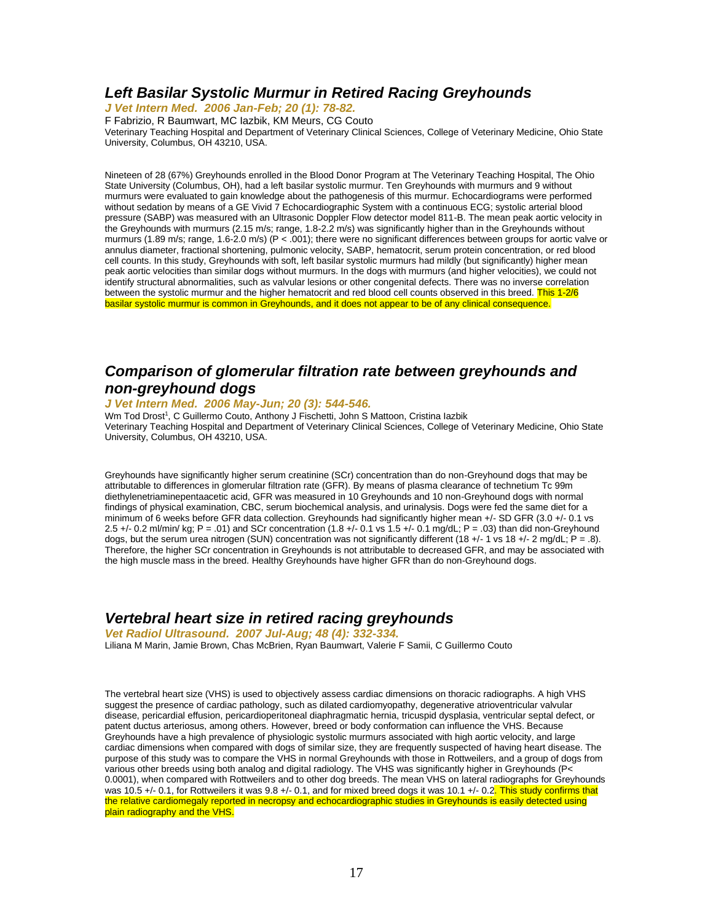#### *Left Basilar Systolic Murmur in Retired Racing Greyhounds*

*J Vet Intern Med. 2006 Jan-Feb; 20 (1): 78-82.* 

F Fabrizio, R Baumwart, MC Iazbik, KM Meurs, CG Couto

Veterinary Teaching Hospital and Department of Veterinary Clinical Sciences, College of Veterinary Medicine, Ohio State University, Columbus, OH 43210, USA.

Nineteen of 28 (67%) Greyhounds enrolled in the Blood Donor Program at The Veterinary Teaching Hospital, The Ohio State University (Columbus, OH), had a left basilar systolic murmur. Ten Greyhounds with murmurs and 9 without murmurs were evaluated to gain knowledge about the pathogenesis of this murmur. Echocardiograms were performed without sedation by means of a GE Vivid 7 Echocardiographic System with a continuous ECG; systolic arterial blood pressure (SABP) was measured with an Ultrasonic Doppler Flow detector model 811-B. The mean peak aortic velocity in the Greyhounds with murmurs (2.15 m/s; range, 1.8-2.2 m/s) was significantly higher than in the Greyhounds without murmurs (1.89 m/s; range, 1.6-2.0 m/s) (P < .001); there were no significant differences between groups for aortic valve or annulus diameter, fractional shortening, pulmonic velocity, SABP, hematocrit, serum protein concentration, or red blood cell counts. In this study, Greyhounds with soft, left basilar systolic murmurs had mildly (but significantly) higher mean peak aortic velocities than similar dogs without murmurs. In the dogs with murmurs (and higher velocities), we could not identify structural abnormalities, such as valvular lesions or other congenital defects. There was no inverse correlation between the systolic murmur and the higher hematocrit and red blood cell counts observed in this breed. This 1-2/6 basilar systolic murmur is common in Greyhounds, and it does not appear to be of any clinical consequence.

# *Comparison of glomerular filtration rate between greyhounds and non-greyhound dogs*

#### *J Vet Intern Med. 2006 May-Jun; 20 (3): 544-546.*

Wm Tod Drost<sup>1</sup>, C Guillermo Couto, Anthony J Fischetti, John S Mattoon, Cristina lazbik Veterinary Teaching Hospital and Department of Veterinary Clinical Sciences, College of Veterinary Medicine, Ohio State University, Columbus, OH 43210, USA.

Greyhounds have significantly higher serum creatinine (SCr) concentration than do non-Greyhound dogs that may be attributable to differences in glomerular filtration rate (GFR). By means of plasma clearance of technetium Tc 99m diethylenetriaminepentaacetic acid, GFR was measured in 10 Greyhounds and 10 non-Greyhound dogs with normal findings of physical examination, CBC, serum biochemical analysis, and urinalysis. Dogs were fed the same diet for a minimum of 6 weeks before GFR data collection. Greyhounds had significantly higher mean +/- SD GFR (3.0 +/- 0.1 vs 2.5 +/- 0.2 ml/min/ kg; P = .01) and SCr concentration  $(1.8 +/-0.1 \text{ vs } 1.5 +/-0.1 \text{ mg/dL}; P = .03)$  than did non-Greyhound dogs, but the serum urea nitrogen (SUN) concentration was not significantly different (18 +/- 1 vs 18 +/- 2 mg/dL; P = .8). Therefore, the higher SCr concentration in Greyhounds is not attributable to decreased GFR, and may be associated with the high muscle mass in the breed. Healthy Greyhounds have higher GFR than do non-Greyhound dogs.

# *Vertebral heart size in retired racing greyhounds*

*Vet Radiol Ultrasound. 2007 Jul-Aug; 48 (4): 332-334.*  Liliana M Marin, Jamie Brown, Chas McBrien, Ryan Baumwart, Valerie F Samii, C Guillermo Couto

The vertebral heart size (VHS) is used to objectively assess cardiac dimensions on thoracic radiographs. A high VHS suggest the presence of cardiac pathology, such as dilated cardiomyopathy, degenerative atrioventricular valvular disease, pericardial effusion, pericardioperitoneal diaphragmatic hernia, tricuspid dysplasia, ventricular septal defect, or patent ductus arteriosus, among others. However, breed or body conformation can influence the VHS. Because Greyhounds have a high prevalence of physiologic systolic murmurs associated with high aortic velocity, and large cardiac dimensions when compared with dogs of similar size, they are frequently suspected of having heart disease. The purpose of this study was to compare the VHS in normal Greyhounds with those in Rottweilers, and a group of dogs from various other breeds using both analog and digital radiology. The VHS was significantly higher in Greyhounds (P< 0.0001), when compared with Rottweilers and to other dog breeds. The mean VHS on lateral radiographs for Greyhounds was 10.5 +/- 0.1, for Rottweilers it was 9.8 +/- 0.1, and for mixed breed dogs it was 10.1 +/- 0.2. This study confirms that the relative cardiomegaly reported in necropsy and echocardiographic studies in Greyhounds is easily detected using plain radiography and the VHS.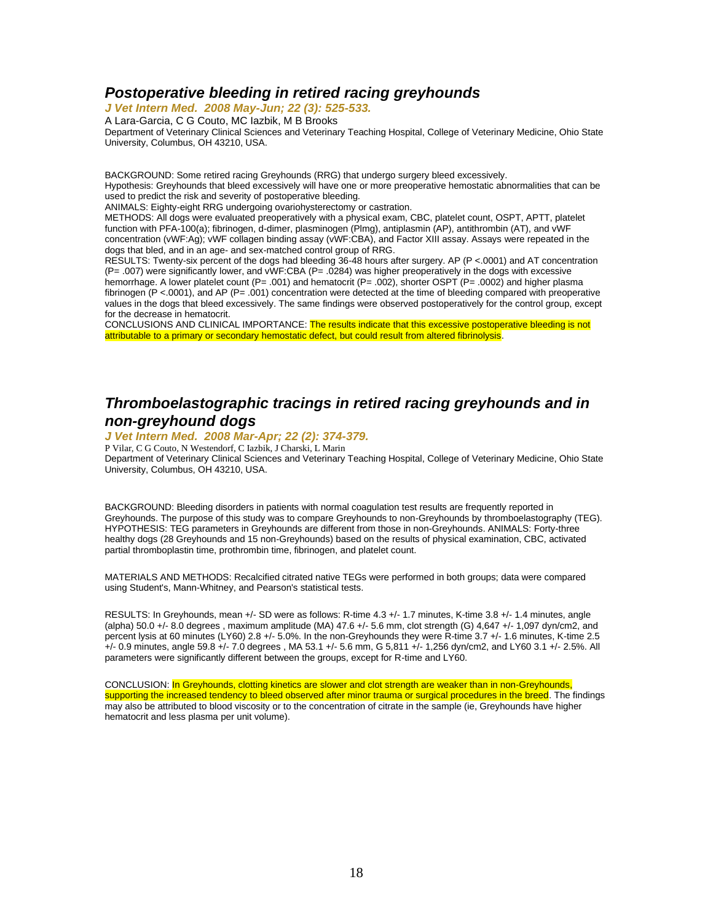#### *Postoperative bleeding in retired racing greyhounds*

*J Vet Intern Med. 2008 May-Jun; 22 (3): 525-533.* 

A Lara-Garcia, C G Couto, MC Iazbik, M B Brooks

Department of Veterinary Clinical Sciences and Veterinary Teaching Hospital, College of Veterinary Medicine, Ohio State University, Columbus, OH 43210, USA.

BACKGROUND: Some retired racing Greyhounds (RRG) that undergo surgery bleed excessively.

Hypothesis: Greyhounds that bleed excessively will have one or more preoperative hemostatic abnormalities that can be used to predict the risk and severity of postoperative bleeding.

ANIMALS: Eighty-eight RRG undergoing ovariohysterectomy or castration.

METHODS: All dogs were evaluated preoperatively with a physical exam, CBC, platelet count, OSPT, APTT, platelet function with PFA-100(a); fibrinogen, d-dimer, plasminogen (Plmg), antiplasmin (AP), antithrombin (AT), and vWF concentration (vWF:Ag); vWF collagen binding assay (vWF:CBA), and Factor XIII assay. Assays were repeated in the dogs that bled, and in an age- and sex-matched control group of RRG.

RESULTS: Twenty-six percent of the dogs had bleeding 36-48 hours after surgery. AP (P <.0001) and AT concentration (P= .007) were significantly lower, and vWF:CBA (P= .0284) was higher preoperatively in the dogs with excessive hemorrhage. A lower platelet count (P= .001) and hematocrit (P= .002), shorter OSPT (P= .0002) and higher plasma fibrinogen (P <.0001), and AP (P= .001) concentration were detected at the time of bleeding compared with preoperative values in the dogs that bleed excessively. The same findings were observed postoperatively for the control group, except for the decrease in hematocrit.

CONCLUSIONS AND CLINICAL IMPORTANCE: The results indicate that this excessive postoperative bleeding is not attributable to a primary or secondary hemostatic defect, but could result from altered fibrinolysis.

# *Thromboelastographic tracings in retired racing greyhounds and in non-greyhound dogs*

#### *J Vet Intern Med. 2008 Mar-Apr; 22 (2): 374-379.*

P Vilar, C G Couto, N Westendorf, C Iazbik, J Charski, L Marin Department of Veterinary Clinical Sciences and Veterinary Teaching Hospital, College of Veterinary Medicine, Ohio State University, Columbus, OH 43210, USA.

BACKGROUND: Bleeding disorders in patients with normal coagulation test results are frequently reported in Greyhounds. The purpose of this study was to compare Greyhounds to non-Greyhounds by thromboelastography (TEG). HYPOTHESIS: TEG parameters in Greyhounds are different from those in non-Greyhounds. ANIMALS: Forty-three healthy dogs (28 Greyhounds and 15 non-Greyhounds) based on the results of physical examination, CBC, activated partial thromboplastin time, prothrombin time, fibrinogen, and platelet count.

MATERIALS AND METHODS: Recalcified citrated native TEGs were performed in both groups; data were compared using Student's, Mann-Whitney, and Pearson's statistical tests.

RESULTS: In Greyhounds, mean +/- SD were as follows: R-time 4.3 +/- 1.7 minutes, K-time 3.8 +/- 1.4 minutes, angle (alpha) 50.0 +/- 8.0 degrees, maximum amplitude (MA) 47.6 +/- 5.6 mm, clot strength (G) 4,647 +/- 1,097 dyn/cm2, and percent lysis at 60 minutes (LY60) 2.8 +/- 5.0%. In the non-Greyhounds they were R-time 3.7 +/- 1.6 minutes, K-time 2.5 +/- 0.9 minutes, angle 59.8 +/- 7.0 degrees , MA 53.1 +/- 5.6 mm, G 5,811 +/- 1,256 dyn/cm2, and LY60 3.1 +/- 2.5%. All parameters were significantly different between the groups, except for R-time and LY60.

CONCLUSION: In Greyhounds, clotting kinetics are slower and clot strength are weaker than in non-Greyhounds, supporting the increased tendency to bleed observed after minor trauma or surgical procedures in the breed. The findings may also be attributed to blood viscosity or to the concentration of citrate in the sample (ie, Greyhounds have higher hematocrit and less plasma per unit volume).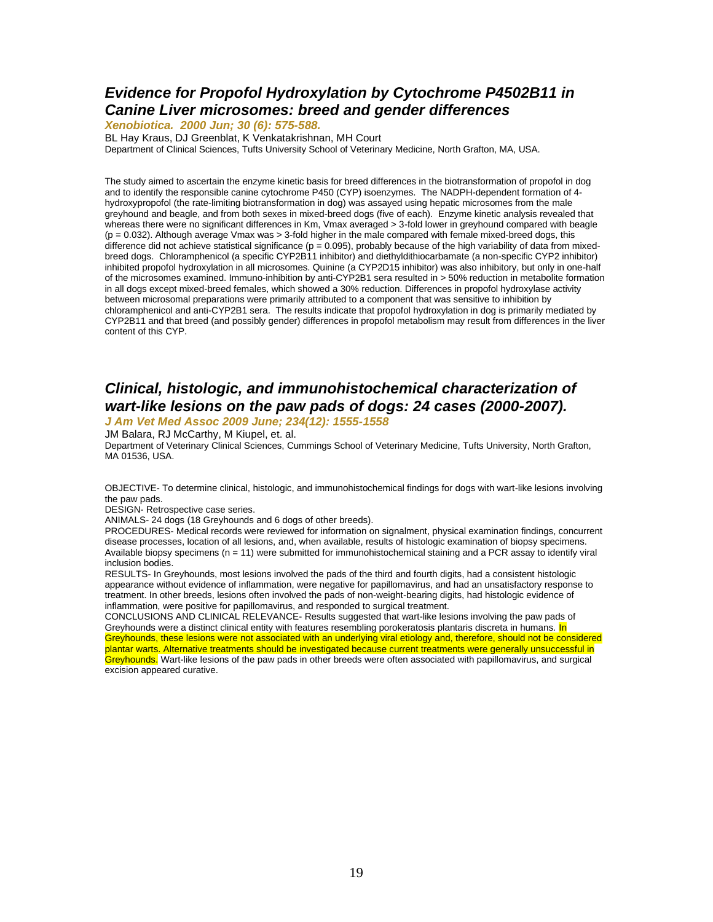# *Evidence for Propofol Hydroxylation by Cytochrome P4502B11 in Canine Liver microsomes: breed and gender differences*

*Xenobiotica. 2000 Jun; 30 (6): 575-588.* 

BL Hay Kraus, DJ Greenblat, K Venkatakrishnan, MH Court Department of Clinical Sciences, Tufts University School of Veterinary Medicine, North Grafton, MA, USA.

The study aimed to ascertain the enzyme kinetic basis for breed differences in the biotransformation of propofol in dog and to identify the responsible canine cytochrome P450 (CYP) isoenzymes. The NADPH-dependent formation of 4 hydroxypropofol (the rate-limiting biotransformation in dog) was assayed using hepatic microsomes from the male greyhound and beagle, and from both sexes in mixed-breed dogs (five of each). Enzyme kinetic analysis revealed that whereas there were no significant differences in Km, Vmax averaged > 3-fold lower in greyhound compared with beagle  $(p = 0.032)$ . Although average Vmax was > 3-fold higher in the male compared with female mixed-breed dogs, this difference did not achieve statistical significance ( $p = 0.095$ ), probably because of the high variability of data from mixedbreed dogs. Chloramphenicol (a specific CYP2B11 inhibitor) and diethyldithiocarbamate (a non-specific CYP2 inhibitor) inhibited propofol hydroxylation in all microsomes. Quinine (a CYP2D15 inhibitor) was also inhibitory, but only in one-half of the microsomes examined. Immuno-inhibition by anti-CYP2B1 sera resulted in > 50% reduction in metabolite formation in all dogs except mixed-breed females, which showed a 30% reduction. Differences in propofol hydroxylase activity between microsomal preparations were primarily attributed to a component that was sensitive to inhibition by chloramphenicol and anti-CYP2B1 sera. The results indicate that propofol hydroxylation in dog is primarily mediated by CYP2B11 and that breed (and possibly gender) differences in propofol metabolism may result from differences in the liver content of this CYP.

# *Clinical, histologic, and immunohistochemical characterization of wart-like lesions on the paw pads of dogs: 24 cases (2000-2007).*

*J Am Vet Med Assoc 2009 June; 234(12): 1555-1558* 

JM Balara, RJ McCarthy, M Kiupel, et. al.

Department of Veterinary Clinical Sciences, Cummings School of Veterinary Medicine, Tufts University, North Grafton, MA 01536, USA.

OBJECTIVE- To determine clinical, histologic, and immunohistochemical findings for dogs with wart-like lesions involving the paw pads.

DESIGN- Retrospective case series.

ANIMALS- 24 dogs (18 Greyhounds and 6 dogs of other breeds).

PROCEDURES- Medical records were reviewed for information on signalment, physical examination findings, concurrent disease processes, location of all lesions, and, when available, results of histologic examination of biopsy specimens. Available biopsy specimens (n = 11) were submitted for immunohistochemical staining and a PCR assay to identify viral inclusion bodies.

RESULTS- In Greyhounds, most lesions involved the pads of the third and fourth digits, had a consistent histologic appearance without evidence of inflammation, were negative for papillomavirus, and had an unsatisfactory response to treatment. In other breeds, lesions often involved the pads of non-weight-bearing digits, had histologic evidence of inflammation, were positive for papillomavirus, and responded to surgical treatment.

CONCLUSIONS AND CLINICAL RELEVANCE- Results suggested that wart-like lesions involving the paw pads of Greyhounds were a distinct clinical entity with features resembling porokeratosis plantaris discreta in humans. In Greyhounds, these lesions were not associated with an underlying viral etiology and, therefore, should not be considered plantar warts. Alternative treatments should be investigated because current treatments were generally unsuccessful in Greyhounds. Wart-like lesions of the paw pads in other breeds were often associated with papillomavirus, and surgical excision appeared curative.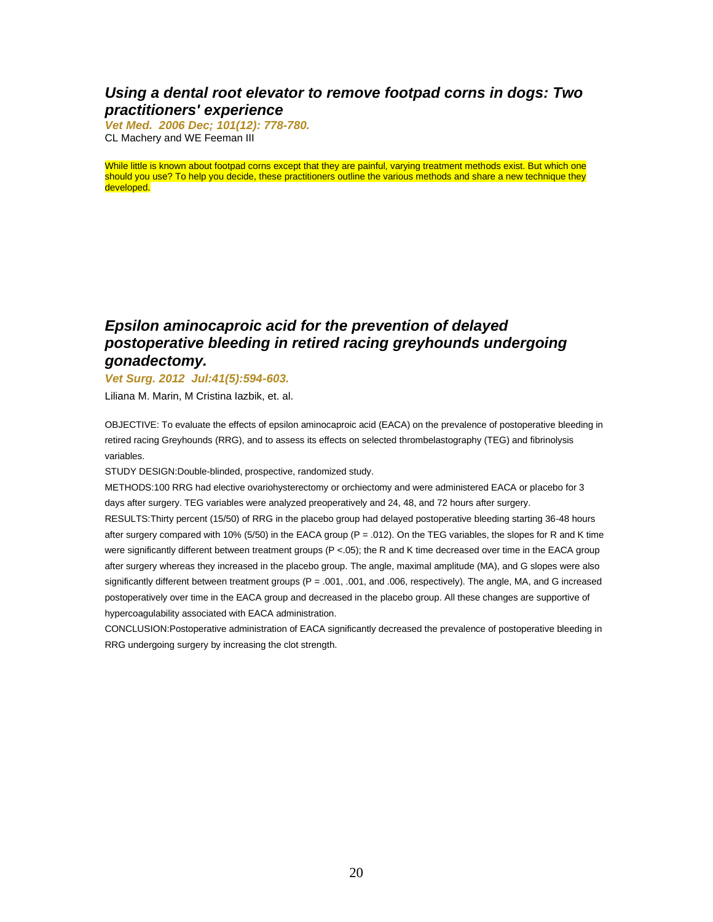# *Using a dental root elevator to remove footpad corns in dogs: Two practitioners' experience*

*Vet Med. 2006 Dec; 101(12): 778-780.*  CL Machery and WE Feeman III

While little is known about footpad corns except that they are painful, varying treatment methods exist. But which one should you use? To help you decide, these practitioners outline the various methods and share a new technique they developed.

# *Epsilon aminocaproic acid for the prevention of delayed postoperative bleeding in retired racing greyhounds undergoing gonadectomy.*

#### *Vet Surg. 2012 Jul:41(5):594-603.*

Liliana M. Marin, M Cristina Iazbik, et. al.

OBJECTIVE: To evaluate the effects of epsilon aminocaproic acid (EACA) on the prevalence of postoperative bleeding in retired racing Greyhounds (RRG), and to assess its effects on selected thrombelastography (TEG) and fibrinolysis variables.

STUDY DESIGN:Double-blinded, prospective, randomized study.

METHODS:100 RRG had elective ovariohysterectomy or orchiectomy and were administered EACA or placebo for 3 days after surgery. TEG variables were analyzed preoperatively and 24, 48, and 72 hours after surgery.

RESULTS:Thirty percent (15/50) of RRG in the placebo group had delayed postoperative bleeding starting 36-48 hours after surgery compared with 10% (5/50) in the EACA group ( $P = 0.012$ ). On the TEG variables, the slopes for R and K time were significantly different between treatment groups  $(P < .05)$ ; the R and K time decreased over time in the EACA group after surgery whereas they increased in the placebo group. The angle, maximal amplitude (MA), and G slopes were also significantly different between treatment groups (P = .001, .001, and .006, respectively). The angle, MA, and G increased postoperatively over time in the EACA group and decreased in the placebo group. All these changes are supportive of hypercoagulability associated with EACA administration.

CONCLUSION:Postoperative administration of EACA significantly decreased the prevalence of postoperative bleeding in RRG undergoing surgery by increasing the clot strength.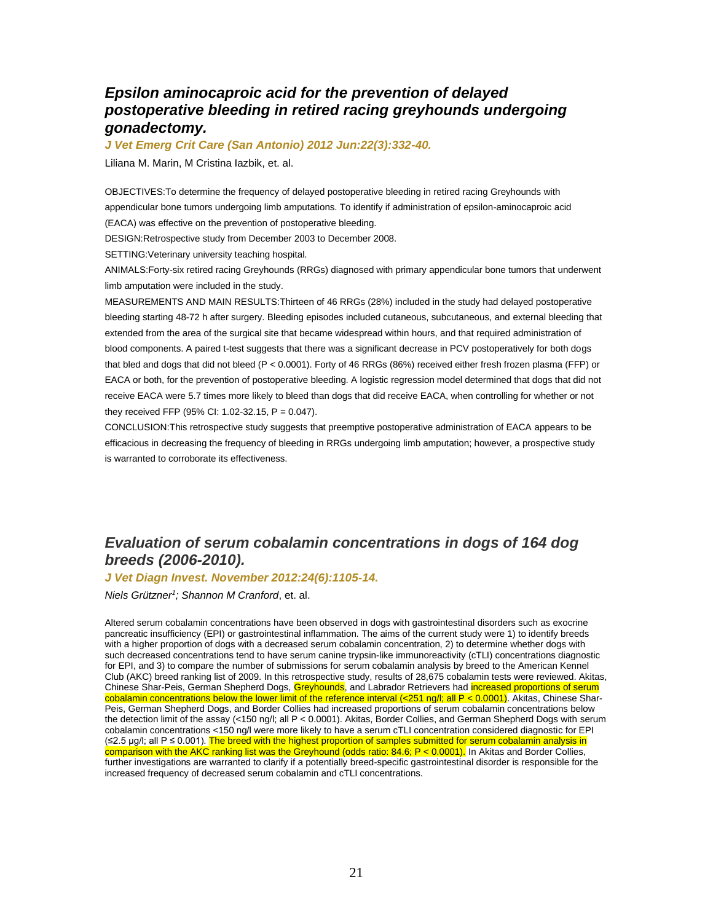# *Epsilon aminocaproic acid for the prevention of delayed postoperative bleeding in retired racing greyhounds undergoing gonadectomy.*

*J Vet Emerg Crit Care (San Antonio) 2012 Jun:22(3):332-40.*

Liliana M. Marin, M Cristina Iazbik, et. al.

OBJECTIVES:To determine the frequency of delayed postoperative bleeding in retired racing Greyhounds with appendicular bone tumors undergoing limb amputations. To identify if administration of epsilon-aminocaproic acid (EACA) was effective on the prevention of postoperative bleeding.

DESIGN:Retrospective study from December 2003 to December 2008.

SETTING:Veterinary university teaching hospital.

ANIMALS:Forty-six retired racing Greyhounds (RRGs) diagnosed with primary appendicular bone tumors that underwent limb amputation were included in the study.

MEASUREMENTS AND MAIN RESULTS:Thirteen of 46 RRGs (28%) included in the study had delayed postoperative bleeding starting 48-72 h after surgery. Bleeding episodes included cutaneous, subcutaneous, and external bleeding that extended from the area of the surgical site that became widespread within hours, and that required administration of blood components. A paired t-test suggests that there was a significant decrease in PCV postoperatively for both dogs that bled and dogs that did not bleed (P < 0.0001). Forty of 46 RRGs (86%) received either fresh frozen plasma (FFP) or EACA or both, for the prevention of postoperative bleeding. A logistic regression model determined that dogs that did not receive EACA were 5.7 times more likely to bleed than dogs that did receive EACA, when controlling for whether or not they received FFP (95% CI: 1.02-32.15,  $P = 0.047$ ).

CONCLUSION:This retrospective study suggests that preemptive postoperative administration of EACA appears to be efficacious in decreasing the frequency of bleeding in RRGs undergoing limb amputation; however, a prospective study is warranted to corroborate its effectiveness.

# *Evaluation of serum cobalamin concentrations in dogs of 164 dog breeds (2006-2010).*

#### *J Vet Diagn Invest. November 2012:24(6):1105-14.*

*Niels Grützner<sup>1</sup> ; Shannon M Cranford*, et. al.

Altered serum cobalamin concentrations have been observed in dogs with gastrointestinal disorders such as exocrine pancreatic insufficiency (EPI) or gastrointestinal inflammation. The aims of the current study were 1) to identify breeds with a higher proportion of dogs with a decreased serum cobalamin concentration, 2) to determine whether dogs with such decreased concentrations tend to have serum canine trypsin-like immunoreactivity (cTLI) concentrations diagnostic for EPI, and 3) to compare the number of submissions for serum cobalamin analysis by breed to the American Kennel Club (AKC) breed ranking list of 2009. In this retrospective study, results of 28,675 cobalamin tests were reviewed. Akitas, Chinese Shar-Peis, German Shepherd Dogs, Greyhounds, and Labrador Retrievers had increased proportions of serum cobalamin concentrations below the lower limit of the reference interval (<251 ng/l; all P < 0.0001). Akitas, Chinese Shar-Peis, German Shepherd Dogs, and Border Collies had increased proportions of serum cobalamin concentrations below the detection limit of the assay (<150 ng/l; all P < 0.0001). Akitas, Border Collies, and German Shepherd Dogs with serum cobalamin concentrations <150 ng/l were more likely to have a serum cTLI concentration considered diagnostic for EPI (≤2.5 µg/l; all P ≤ 0.001). The breed with the highest proportion of samples submitted for serum cobalamin analysis in comparison with the AKC ranking list was the Greyhound (odds ratio: 84.6; P < 0.0001). In Akitas and Border Collies, further investigations are warranted to clarify if a potentially breed-specific gastrointestinal disorder is responsible for the increased frequency of decreased serum cobalamin and cTLI concentrations.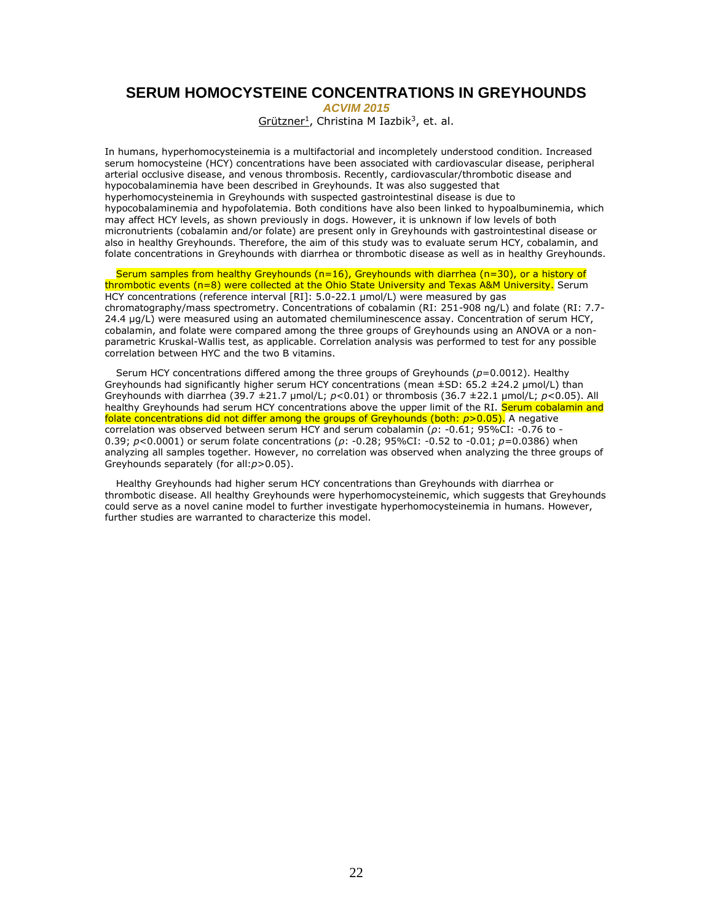# **SERUM HOMOCYSTEINE CONCENTRATIONS IN GREYHOUNDS**

*ACVIM 2015*

Grützner<sup>1</sup>, Christina M Iazbik<sup>3</sup>, et. al.

In humans, hyperhomocysteinemia is a multifactorial and incompletely understood condition. Increased serum homocysteine (HCY) concentrations have been associated with cardiovascular disease, peripheral arterial occlusive disease, and venous thrombosis. Recently, cardiovascular/thrombotic disease and hypocobalaminemia have been described in Greyhounds. It was also suggested that hyperhomocysteinemia in Greyhounds with suspected gastrointestinal disease is due to hypocobalaminemia and hypofolatemia. Both conditions have also been linked to hypoalbuminemia, which may affect HCY levels, as shown previously in dogs. However, it is unknown if low levels of both micronutrients (cobalamin and/or folate) are present only in Greyhounds with gastrointestinal disease or also in healthy Greyhounds. Therefore, the aim of this study was to evaluate serum HCY, cobalamin, and folate concentrations in Greyhounds with diarrhea or thrombotic disease as well as in healthy Greyhounds.

Serum samples from healthy Greyhounds (n=16), Greyhounds with diarrhea (n=30), or a history of thrombotic events (n=8) were collected at the Ohio State University and Texas A&M University. Serum HCY concentrations (reference interval [RI]: 5.0-22.1 µmol/L) were measured by gas chromatography/mass spectrometry. Concentrations of cobalamin (RI: 251-908 ng/L) and folate (RI: 7.7- 24.4 μg/L) were measured using an automated chemiluminescence assay. Concentration of serum HCY, cobalamin, and folate were compared among the three groups of Greyhounds using an ANOVA or a nonparametric Kruskal-Wallis test, as applicable. Correlation analysis was performed to test for any possible correlation between HYC and the two B vitamins.

Serum HCY concentrations differed among the three groups of Greyhounds (*p*=0.0012). Healthy Greyhounds had significantly higher serum HCY concentrations (mean ±SD: 65.2 ±24.2 µmol/L) than Greyhounds with diarrhea (39.7 ±21.7 µmol/L; *p*<0.01) or thrombosis (36.7 ±22.1 µmol/L; *p*<0.05). All healthy Greyhounds had serum HCY concentrations above the upper limit of the RI. Serum cobalamin and folate concentrations did not differ among the groups of Greyhounds (both: *p*>0.05). A negative correlation was observed between serum HCY and serum cobalamin (*ρ*: -0.61; 95%CI: -0.76 to - 0.39; *p*<0.0001) or serum folate concentrations (*ρ*: -0.28; 95%CI: -0.52 to -0.01; *p*=0.0386) when analyzing all samples together. However, no correlation was observed when analyzing the three groups of Greyhounds separately (for all:*p*>0.05).

Healthy Greyhounds had higher serum HCY concentrations than Greyhounds with diarrhea or thrombotic disease. All healthy Greyhounds were hyperhomocysteinemic, which suggests that Greyhounds could serve as a novel canine model to further investigate hyperhomocysteinemia in humans. However, further studies are warranted to characterize this model.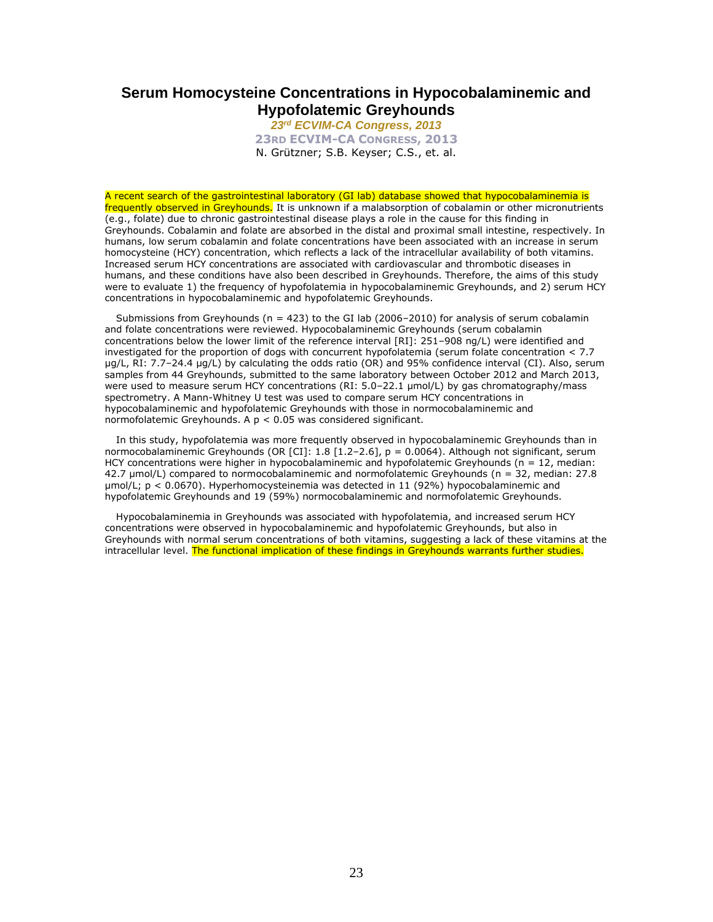# **Serum Homocysteine Concentrations in Hypocobalaminemic and Hypofolatemic Greyhounds**

*23rd ECVIM-CA Congress, 2013*

**23RD ECVIM-CA CONGRESS, 2013** N. Grützner; S.B. Keyser; C.S., et. al.

A recent search of the gastrointestinal laboratory (GI lab) database showed that hypocobalaminemia is frequently observed in Greyhounds. It is unknown if a malabsorption of cobalamin or other micronutrients (e.g., folate) due to chronic gastrointestinal disease plays a role in the cause for this finding in Greyhounds. Cobalamin and folate are absorbed in the distal and proximal small intestine, respectively. In humans, low serum cobalamin and folate concentrations have been associated with an increase in serum homocysteine (HCY) concentration, which reflects a lack of the intracellular availability of both vitamins. Increased serum HCY concentrations are associated with cardiovascular and thrombotic diseases in humans, and these conditions have also been described in Greyhounds. Therefore, the aims of this study were to evaluate 1) the frequency of hypofolatemia in hypocobalaminemic Greyhounds, and 2) serum HCY concentrations in hypocobalaminemic and hypofolatemic Greyhounds.

Submissions from Greyhounds ( $n = 423$ ) to the GI lab (2006–2010) for analysis of serum cobalamin and folate concentrations were reviewed. Hypocobalaminemic Greyhounds (serum cobalamin concentrations below the lower limit of the reference interval [RI]: 251–908 ng/L) were identified and investigated for the proportion of dogs with concurrent hypofolatemia (serum folate concentration < 7.7 µg/L, RI: 7.7–24.4 µg/L) by calculating the odds ratio (OR) and 95% confidence interval (CI). Also, serum samples from 44 Greyhounds, submitted to the same laboratory between October 2012 and March 2013, were used to measure serum HCY concentrations (RI: 5.0-22.1 µmol/L) by gas chromatography/mass spectrometry. A Mann-Whitney U test was used to compare serum HCY concentrations in hypocobalaminemic and hypofolatemic Greyhounds with those in normocobalaminemic and normofolatemic Greyhounds. A  $p < 0.05$  was considered significant.

In this study, hypofolatemia was more frequently observed in hypocobalaminemic Greyhounds than in normocobalaminemic Greyhounds (OR [CI]:  $1.8$  [1.2-2.6],  $p = 0.0064$ ). Although not significant, serum HCY concentrations were higher in hypocobalaminemic and hypofolatemic Greyhounds ( $n = 12$ , median: 42.7 µmol/L) compared to normocobalaminemic and normofolatemic Greyhounds (n = 32, median: 27.8 µmol/L; p < 0.0670). Hyperhomocysteinemia was detected in 11 (92%) hypocobalaminemic and hypofolatemic Greyhounds and 19 (59%) normocobalaminemic and normofolatemic Greyhounds.

Hypocobalaminemia in Greyhounds was associated with hypofolatemia, and increased serum HCY concentrations were observed in hypocobalaminemic and hypofolatemic Greyhounds, but also in Greyhounds with normal serum concentrations of both vitamins, suggesting a lack of these vitamins at the intracellular level. The functional implication of these findings in Greyhounds warrants further studies.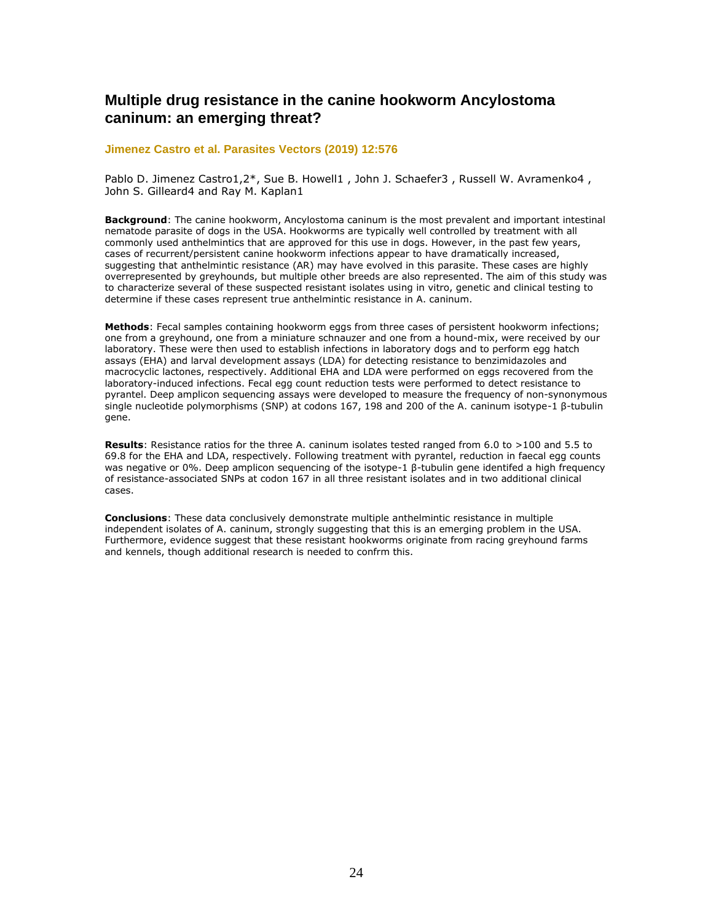# **Multiple drug resistance in the canine hookworm Ancylostoma caninum: an emerging threat?**

#### **Jimenez Castro et al. Parasites Vectors (2019) 12:576**

Pablo D. Jimenez Castro1,2\*, Sue B. Howell1, John J. Schaefer3, Russell W. Avramenko4, John S. Gilleard4 and Ray M. Kaplan1

**Background**: The canine hookworm, Ancylostoma caninum is the most prevalent and important intestinal nematode parasite of dogs in the USA. Hookworms are typically well controlled by treatment with all commonly used anthelmintics that are approved for this use in dogs. However, in the past few years, cases of recurrent/persistent canine hookworm infections appear to have dramatically increased, suggesting that anthelmintic resistance (AR) may have evolved in this parasite. These cases are highly overrepresented by greyhounds, but multiple other breeds are also represented. The aim of this study was to characterize several of these suspected resistant isolates using in vitro, genetic and clinical testing to determine if these cases represent true anthelmintic resistance in A. caninum.

**Methods**: Fecal samples containing hookworm eggs from three cases of persistent hookworm infections; one from a greyhound, one from a miniature schnauzer and one from a hound-mix, were received by our laboratory. These were then used to establish infections in laboratory dogs and to perform egg hatch assays (EHA) and larval development assays (LDA) for detecting resistance to benzimidazoles and macrocyclic lactones, respectively. Additional EHA and LDA were performed on eggs recovered from the laboratory-induced infections. Fecal egg count reduction tests were performed to detect resistance to pyrantel. Deep amplicon sequencing assays were developed to measure the frequency of non-synonymous single nucleotide polymorphisms (SNP) at codons 167, 198 and 200 of the A. caninum isotype-1 β-tubulin gene.

**Results**: Resistance ratios for the three A. caninum isolates tested ranged from 6.0 to >100 and 5.5 to 69.8 for the EHA and LDA, respectively. Following treatment with pyrantel, reduction in faecal egg counts was negative or 0%. Deep amplicon sequencing of the isotype-1 β-tubulin gene identifed a high frequency of resistance-associated SNPs at codon 167 in all three resistant isolates and in two additional clinical cases.

**Conclusions**: These data conclusively demonstrate multiple anthelmintic resistance in multiple independent isolates of A. caninum, strongly suggesting that this is an emerging problem in the USA. Furthermore, evidence suggest that these resistant hookworms originate from racing greyhound farms and kennels, though additional research is needed to confrm this.